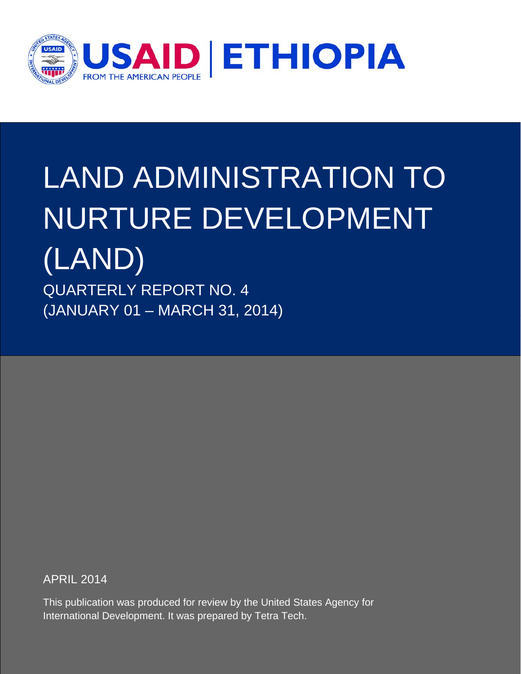

# LAND ADMINISTRATION TO NURTURE DEVELOPMENT (LAND)

QUARTERLY REPORT NO. 4 (JANUARY 01 – MARCH 31, 2014)

APRIL 2014

This publication was produced for review by the United States Agency for International Development. It was prepared by Tetra Tech.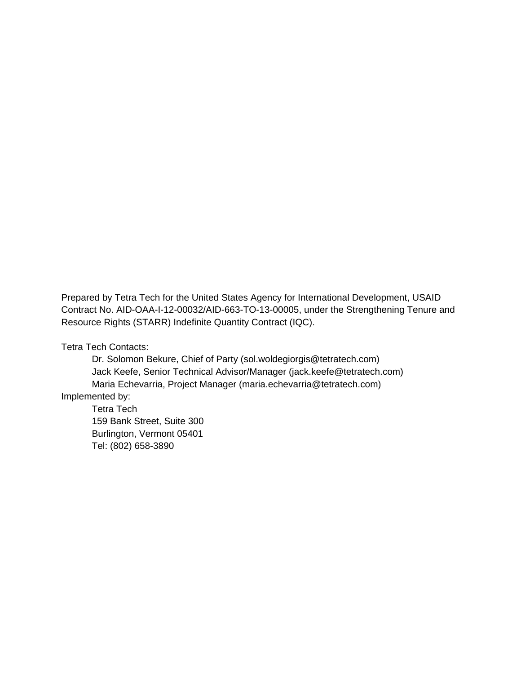Prepared by Tetra Tech for the United States Agency for International Development, USAID Contract No. AID-OAA-I-12-00032/AID-663-TO-13-00005, under the Strengthening Tenure and Resource Rights (STARR) Indefinite Quantity Contract (IQC).

Tetra Tech Contacts:

Dr. Solomon Bekure, Chief of Party (sol.woldegiorgis@tetratech.com) Jack Keefe, Senior Technical Advisor/Manager (jack.keefe@tetratech.com) Maria Echevarria, Project Manager (maria.echevarria@tetratech.com) Implemented by:

Tetra Tech 159 Bank Street, Suite 300 Burlington, Vermont 05401 Tel: (802) 658-3890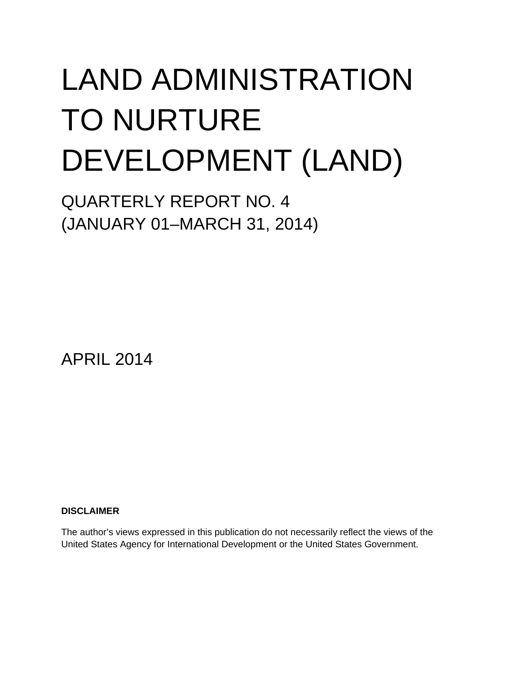# LAND ADMINISTRATION TO NURTURE DEVELOPMENT (LAND)

QUARTERLY REPORT NO. 4 (JANUARY 01–MARCH 31, 2014)

APRIL 2014

**DISCLAIMER**

The author's views expressed in this publication do not necessarily reflect the views of the United States Agency for International Development or the United States Government.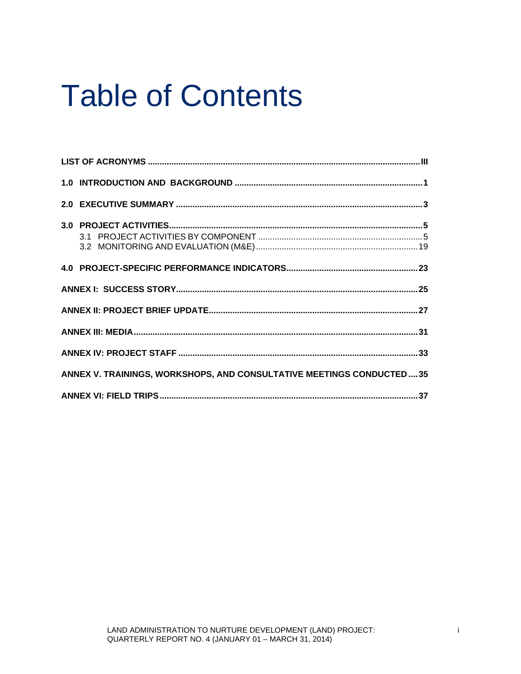### **Table of Contents**

| ANNEX V. TRAININGS, WORKSHOPS, AND CONSULTATIVE MEETINGS CONDUCTED  35 |  |
|------------------------------------------------------------------------|--|
|                                                                        |  |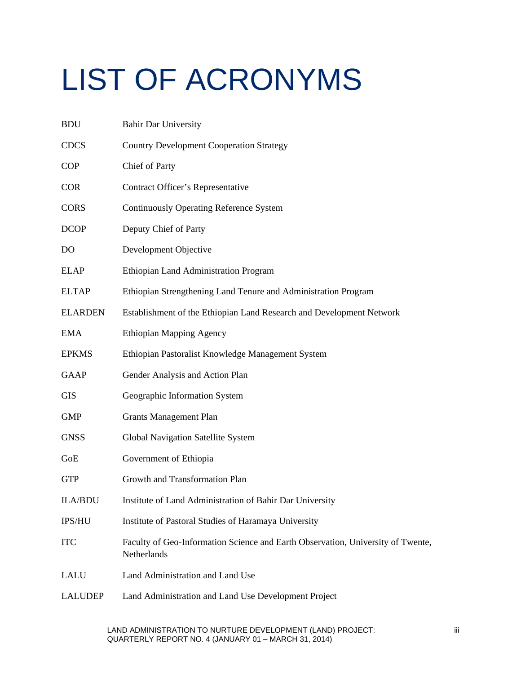# <span id="page-6-0"></span>LIST OF ACRONYMS

| <b>BDU</b>     | <b>Bahir Dar University</b>                                                                    |
|----------------|------------------------------------------------------------------------------------------------|
| <b>CDCS</b>    | <b>Country Development Cooperation Strategy</b>                                                |
| <b>COP</b>     | Chief of Party                                                                                 |
| <b>COR</b>     | Contract Officer's Representative                                                              |
| <b>CORS</b>    | <b>Continuously Operating Reference System</b>                                                 |
| <b>DCOP</b>    | Deputy Chief of Party                                                                          |
| D <sub>O</sub> | Development Objective                                                                          |
| <b>ELAP</b>    | Ethiopian Land Administration Program                                                          |
| <b>ELTAP</b>   | Ethiopian Strengthening Land Tenure and Administration Program                                 |
| <b>ELARDEN</b> | Establishment of the Ethiopian Land Research and Development Network                           |
| <b>EMA</b>     | <b>Ethiopian Mapping Agency</b>                                                                |
| <b>EPKMS</b>   | Ethiopian Pastoralist Knowledge Management System                                              |
| <b>GAAP</b>    | Gender Analysis and Action Plan                                                                |
| <b>GIS</b>     | Geographic Information System                                                                  |
| <b>GMP</b>     | <b>Grants Management Plan</b>                                                                  |
| <b>GNSS</b>    | Global Navigation Satellite System                                                             |
| GoE            | Government of Ethiopia                                                                         |
| <b>GTP</b>     | Growth and Transformation Plan                                                                 |
| <b>ILA/BDU</b> | Institute of Land Administration of Bahir Dar University                                       |
| IPS/HU         | Institute of Pastoral Studies of Haramaya University                                           |
| <b>ITC</b>     | Faculty of Geo-Information Science and Earth Observation, University of Twente,<br>Netherlands |
| LALU           | Land Administration and Land Use                                                               |
| <b>LALUDEP</b> | Land Administration and Land Use Development Project                                           |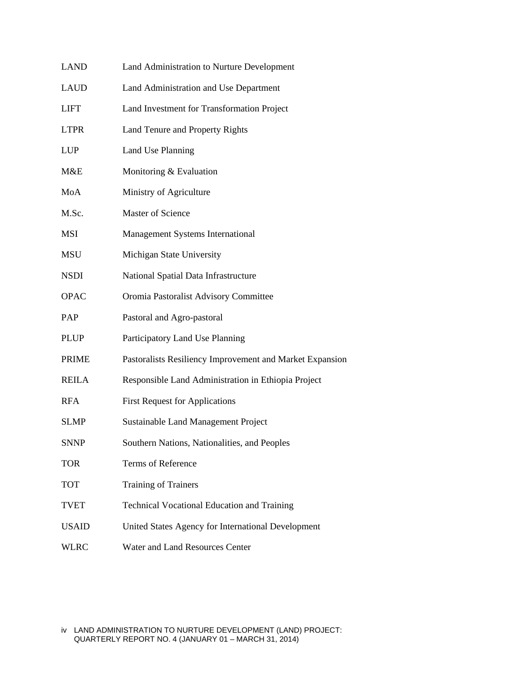| LAND         | Land Administration to Nurture Development               |
|--------------|----------------------------------------------------------|
| LAUD         | Land Administration and Use Department                   |
| LIFT         | Land Investment for Transformation Project               |
| <b>LTPR</b>  | Land Tenure and Property Rights                          |
| LUP          | Land Use Planning                                        |
| M&E          | Monitoring & Evaluation                                  |
| MoA          | Ministry of Agriculture                                  |
| M.Sc.        | Master of Science                                        |
| MSI          | Management Systems International                         |
| MSU          | Michigan State University                                |
| NSDI         | National Spatial Data Infrastructure                     |
| <b>OPAC</b>  | Oromia Pastoralist Advisory Committee                    |
| PAP          | Pastoral and Agro-pastoral                               |
| <b>PLUP</b>  | Participatory Land Use Planning                          |
| <b>PRIME</b> | Pastoralists Resiliency Improvement and Market Expansion |
| REILA        | Responsible Land Administration in Ethiopia Project      |
| <b>RFA</b>   | <b>First Request for Applications</b>                    |
| SLMP         | <b>Sustainable Land Management Project</b>               |
| <b>SNNP</b>  | Southern Nations, Nationalities, and Peoples             |
| TOR          | Terms of Reference                                       |
| TOT          | Training of Trainers                                     |
| TVET         | <b>Technical Vocational Education and Training</b>       |
| <b>USAID</b> | United States Agency for International Development       |
| <b>WLRC</b>  | Water and Land Resources Center                          |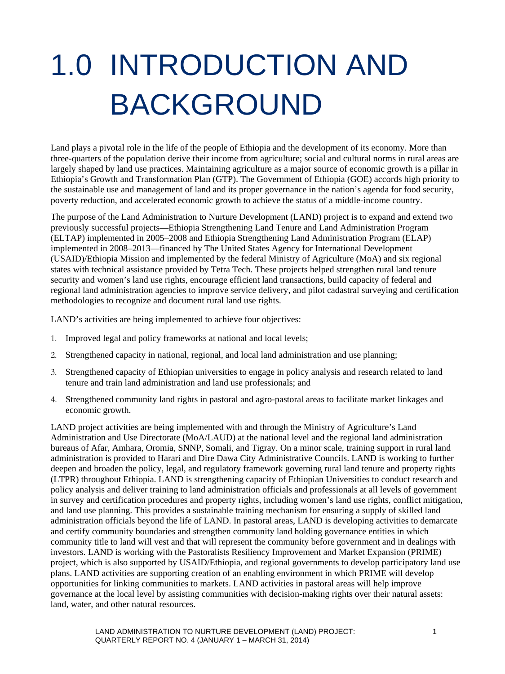# <span id="page-8-0"></span>1.0 INTRODUCTION AND BACKGROUND

Land plays a pivotal role in the life of the people of Ethiopia and the development of its economy. More than three-quarters of the population derive their income from agriculture; social and cultural norms in rural areas are largely shaped by land use practices. Maintaining agriculture as a major source of economic growth is a pillar in Ethiopia's Growth and Transformation Plan (GTP). The Government of Ethiopia (GOE) accords high priority to the sustainable use and management of land and its proper governance in the nation's agenda for food security, poverty reduction, and accelerated economic growth to achieve the status of a middle-income country.

The purpose of the Land Administration to Nurture Development (LAND) project is to expand and extend two previously successful projects—Ethiopia Strengthening Land Tenure and Land Administration Program (ELTAP) implemented in 2005–2008 and Ethiopia Strengthening Land Administration Program (ELAP) implemented in 2008–2013—financed by The United States Agency for International Development (USAID)/Ethiopia Mission and implemented by the federal Ministry of Agriculture (MoA) and six regional states with technical assistance provided by Tetra Tech. These projects helped strengthen rural land tenure security and women's land use rights, encourage efficient land transactions, build capacity of federal and regional land administration agencies to improve service delivery, and pilot cadastral surveying and certification methodologies to recognize and document rural land use rights.

LAND's activities are being implemented to achieve four objectives:

- 1. Improved legal and policy frameworks at national and local levels;
- 2. Strengthened capacity in national, regional, and local land administration and use planning;
- 3. Strengthened capacity of Ethiopian universities to engage in policy analysis and research related to land tenure and train land administration and land use professionals; and
- 4. Strengthened community land rights in pastoral and agro-pastoral areas to facilitate market linkages and economic growth.

LAND project activities are being implemented with and through the Ministry of Agriculture's Land Administration and Use Directorate (MoA/LAUD) at the national level and the regional land administration bureaus of Afar, Amhara, Oromia, SNNP, Somali, and Tigray. On a minor scale, training support in rural land administration is provided to Harari and Dire Dawa City Administrative Councils. LAND is working to further deepen and broaden the policy, legal, and regulatory framework governing rural land tenure and property rights (LTPR) throughout Ethiopia. LAND is strengthening capacity of Ethiopian Universities to conduct research and policy analysis and deliver training to land administration officials and professionals at all levels of government in survey and certification procedures and property rights, including women's land use rights, conflict mitigation, and land use planning. This provides a sustainable training mechanism for ensuring a supply of skilled land administration officials beyond the life of LAND. In pastoral areas, LAND is developing activities to demarcate and certify community boundaries and strengthen community land holding governance entities in which community title to land will vest and that will represent the community before government and in dealings with investors. LAND is working with the Pastoralists Resiliency Improvement and Market Expansion (PRIME) project, which is also supported by USAID/Ethiopia, and regional governments to develop participatory land use plans. LAND activities are supporting creation of an enabling environment in which PRIME will develop opportunities for linking communities to markets. LAND activities in pastoral areas will help improve governance at the local level by assisting communities with decision-making rights over their natural assets: land, water, and other natural resources.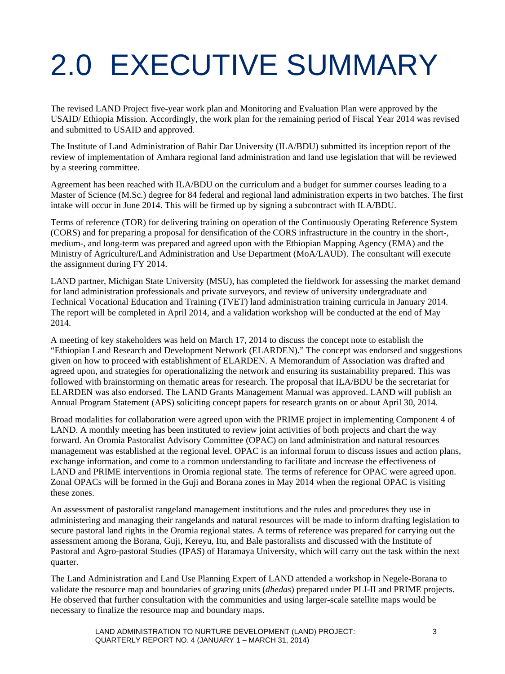## <span id="page-10-0"></span>2.0 EXECUTIVE SUMMARY

The revised LAND Project five-year work plan and Monitoring and Evaluation Plan were approved by the USAID/ Ethiopia Mission. Accordingly, the work plan for the remaining period of Fiscal Year 2014 was revised and submitted to USAID and approved.

The Institute of Land Administration of Bahir Dar University (ILA/BDU) submitted its inception report of the review of implementation of Amhara regional land administration and land use legislation that will be reviewed by a steering committee.

Agreement has been reached with ILA/BDU on the curriculum and a budget for summer courses leading to a Master of Science (M.Sc.) degree for 84 federal and regional land administration experts in two batches. The first intake will occur in June 2014. This will be firmed up by signing a subcontract with ILA/BDU.

Terms of reference (TOR) for delivering training on operation of the Continuously Operating Reference System (CORS) and for preparing a proposal for densification of the CORS infrastructure in the country in the short-, medium-, and long-term was prepared and agreed upon with the Ethiopian Mapping Agency (EMA) and the Ministry of Agriculture/Land Administration and Use Department (MoA/LAUD). The consultant will execute the assignment during FY 2014.

LAND partner, Michigan State University (MSU), has completed the fieldwork for assessing the market demand for land administration professionals and private surveyors, and review of university undergraduate and Technical Vocational Education and Training (TVET) land administration training curricula in January 2014. The report will be completed in April 2014, and a validation workshop will be conducted at the end of May 2014.

A meeting of key stakeholders was held on March 17, 2014 to discuss the concept note to establish the "Ethiopian Land Research and Development Network (ELARDEN)." The concept was endorsed and suggestions given on how to proceed with establishment of ELARDEN. A Memorandum of Association was drafted and agreed upon, and strategies for operationalizing the network and ensuring its sustainability prepared. This was followed with brainstorming on thematic areas for research. The proposal that ILA/BDU be the secretariat for ELARDEN was also endorsed. The LAND Grants Management Manual was approved. LAND will publish an Annual Program Statement (APS) soliciting concept papers for research grants on or about April 30, 2014.

Broad modalities for collaboration were agreed upon with the PRIME project in implementing Component 4 of LAND. A monthly meeting has been instituted to review joint activities of both projects and chart the way forward. An Oromia Pastoralist Advisory Committee (OPAC) on land administration and natural resources management was established at the regional level. OPAC is an informal forum to discuss issues and action plans, exchange information, and come to a common understanding to facilitate and increase the effectiveness of LAND and PRIME interventions in Oromia regional state. The terms of reference for OPAC were agreed upon. Zonal OPACs will be formed in the Guji and Borana zones in May 2014 when the regional OPAC is visiting these zones.

An assessment of pastoralist rangeland management institutions and the rules and procedures they use in administering and managing their rangelands and natural resources will be made to inform drafting legislation to secure pastoral land rights in the Oromia regional states. A terms of reference was prepared for carrying out the assessment among the Borana, Guji, Kereyu, Itu, and Bale pastoralists and discussed with the Institute of Pastoral and Agro-pastoral Studies (IPAS) of Haramaya University, which will carry out the task within the next quarter.

The Land Administration and Land Use Planning Expert of LAND attended a workshop in Negele-Borana to validate the resource map and boundaries of grazing units (*dhedas*) prepared under PLI-II and PRIME projects. He observed that further consultation with the communities and using larger-scale satellite maps would be necessary to finalize the resource map and boundary maps.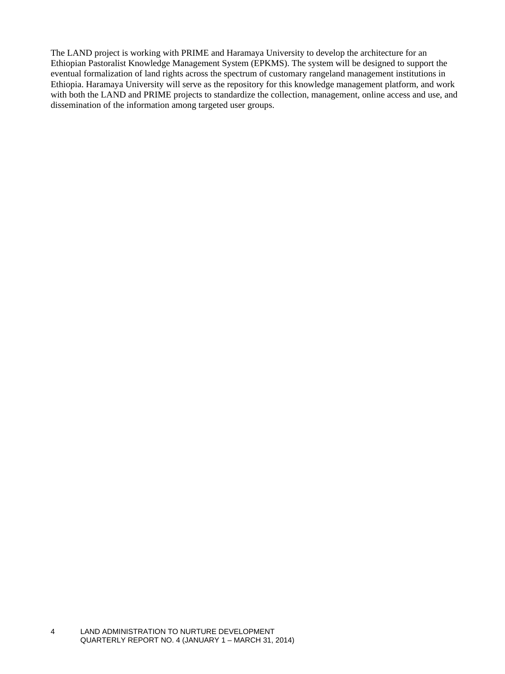The LAND project is working with PRIME and Haramaya University to develop the architecture for an Ethiopian Pastoralist Knowledge Management System (EPKMS). The system will be designed to support the eventual formalization of land rights across the spectrum of customary rangeland management institutions in Ethiopia. Haramaya University will serve as the repository for this knowledge management platform, and work with both the LAND and PRIME projects to standardize the collection, management, online access and use, and dissemination of the information among targeted user groups.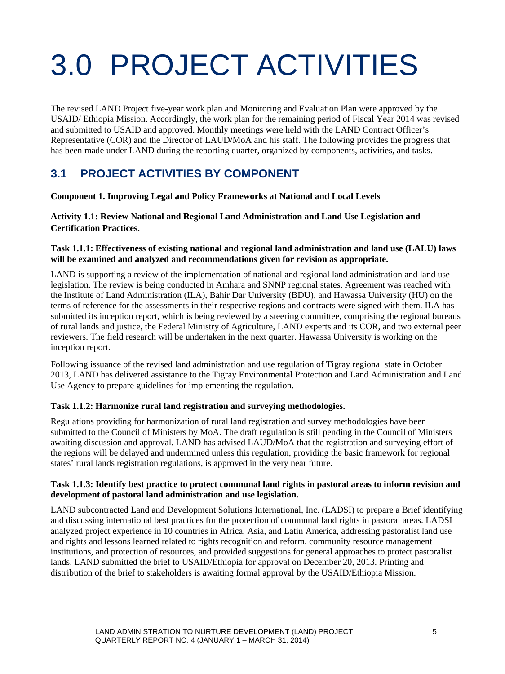## <span id="page-12-0"></span>3.0 PROJECT ACTIVITIES

<span id="page-12-1"></span>The revised LAND Project five-year work plan and Monitoring and Evaluation Plan were approved by the USAID/ Ethiopia Mission. Accordingly, the work plan for the remaining period of Fiscal Year 2014 was revised and submitted to USAID and approved. Monthly meetings were held with the LAND Contract Officer's Representative (COR) and the Director of LAUD/MoA and his staff. The following provides the progress that has been made under LAND during the reporting quarter, organized by components, activities, and tasks.

#### **3.1 PROJECT ACTIVITIES BY COMPONENT**

**Component 1. Improving Legal and Policy Frameworks at National and Local Levels**

**Activity 1.1: Review National and Regional Land Administration and Land Use Legislation and Certification Practices.**

#### **Task 1.1.1: Effectiveness of existing national and regional land administration and land use (LALU) laws will be examined and analyzed and recommendations given for revision as appropriate.**

LAND is supporting a review of the implementation of national and regional land administration and land use legislation. The review is being conducted in Amhara and SNNP regional states. Agreement was reached with the Institute of Land Administration (ILA), Bahir Dar University (BDU), and Hawassa University (HU) on the terms of reference for the assessments in their respective regions and contracts were signed with them. ILA has submitted its inception report, which is being reviewed by a steering committee, comprising the regional bureaus of rural lands and justice, the Federal Ministry of Agriculture, LAND experts and its COR, and two external peer reviewers. The field research will be undertaken in the next quarter. Hawassa University is working on the inception report.

Following issuance of the revised land administration and use regulation of Tigray regional state in October 2013, LAND has delivered assistance to the Tigray Environmental Protection and Land Administration and Land Use Agency to prepare guidelines for implementing the regulation.

#### **Task 1.1.2: Harmonize rural land registration and surveying methodologies.**

Regulations providing for harmonization of rural land registration and survey methodologies have been submitted to the Council of Ministers by MoA. The draft regulation is still pending in the Council of Ministers awaiting discussion and approval. LAND has advised LAUD/MoA that the registration and surveying effort of the regions will be delayed and undermined unless this regulation, providing the basic framework for regional states' rural lands registration regulations, is approved in the very near future.

#### **Task 1.1.3: Identify best practice to protect communal land rights in pastoral areas to inform revision and development of pastoral land administration and use legislation.**

LAND subcontracted Land and Development Solutions International, Inc. (LADSI) to prepare a Brief identifying and discussing international best practices for the protection of communal land rights in pastoral areas. LADSI analyzed project experience in 10 countries in Africa, Asia, and Latin America, addressing pastoralist land use and rights and lessons learned related to rights recognition and reform, community resource management institutions, and protection of resources, and provided suggestions for general approaches to protect pastoralist lands. LAND submitted the brief to USAID/Ethiopia for approval on December 20, 2013. Printing and distribution of the brief to stakeholders is awaiting formal approval by the USAID/Ethiopia Mission.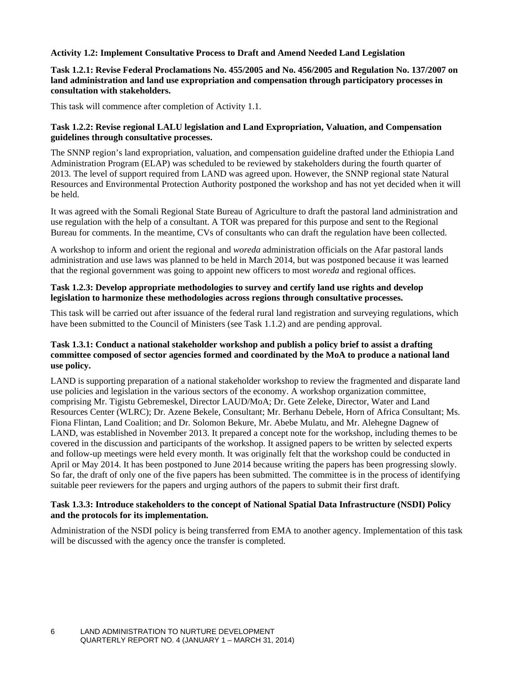#### **Activity 1.2: Implement Consultative Process to Draft and Amend Needed Land Legislation**

#### **Task 1.2.1: Revise Federal Proclamations No. 455/2005 and No. 456/2005 and Regulation No. 137/2007 on land administration and land use expropriation and compensation through participatory processes in consultation with stakeholders.**

This task will commence after completion of Activity 1.1.

#### **Task 1.2.2: Revise regional LALU legislation and Land Expropriation, Valuation, and Compensation guidelines through consultative processes.**

The SNNP region's land expropriation, valuation, and compensation guideline drafted under the Ethiopia Land Administration Program (ELAP) was scheduled to be reviewed by stakeholders during the fourth quarter of 2013. The level of support required from LAND was agreed upon. However, the SNNP regional state Natural Resources and Environmental Protection Authority postponed the workshop and has not yet decided when it will be held.

It was agreed with the Somali Regional State Bureau of Agriculture to draft the pastoral land administration and use regulation with the help of a consultant. A TOR was prepared for this purpose and sent to the Regional Bureau for comments. In the meantime, CVs of consultants who can draft the regulation have been collected.

A workshop to inform and orient the regional and *woreda* administration officials on the Afar pastoral lands administration and use laws was planned to be held in March 2014, but was postponed because it was learned that the regional government was going to appoint new officers to most *woreda* and regional offices.

#### **Task 1.2.3: Develop appropriate methodologies to survey and certify land use rights and develop legislation to harmonize these methodologies across regions through consultative processes.**

This task will be carried out after issuance of the federal rural land registration and surveying regulations, which have been submitted to the Council of Ministers (see Task 1.1.2) and are pending approval.

#### **Task 1.3.1: Conduct a national stakeholder workshop and publish a policy brief to assist a drafting committee composed of sector agencies formed and coordinated by the MoA to produce a national land use policy.**

LAND is supporting preparation of a national stakeholder workshop to review the fragmented and disparate land use policies and legislation in the various sectors of the economy. A workshop organization committee, comprising Mr. Tigistu Gebremeskel, Director LAUD/MoA; Dr. Gete Zeleke, Director, Water and Land Resources Center (WLRC); Dr. Azene Bekele, Consultant; Mr. Berhanu Debele, Horn of Africa Consultant; Ms. Fiona Flintan, Land Coalition; and Dr. Solomon Bekure, Mr. Abebe Mulatu, and Mr. Alehegne Dagnew of LAND, was established in November 2013. It prepared a concept note for the workshop, including themes to be covered in the discussion and participants of the workshop. It assigned papers to be written by selected experts and follow-up meetings were held every month. It was originally felt that the workshop could be conducted in April or May 2014. It has been postponed to June 2014 because writing the papers has been progressing slowly. So far, the draft of only one of the five papers has been submitted. The committee is in the process of identifying suitable peer reviewers for the papers and urging authors of the papers to submit their first draft.

#### **Task 1.3.3: Introduce stakeholders to the concept of National Spatial Data Infrastructure (NSDI) Policy and the protocols for its implementation.**

Administration of the NSDI policy is being transferred from EMA to another agency. Implementation of this task will be discussed with the agency once the transfer is completed.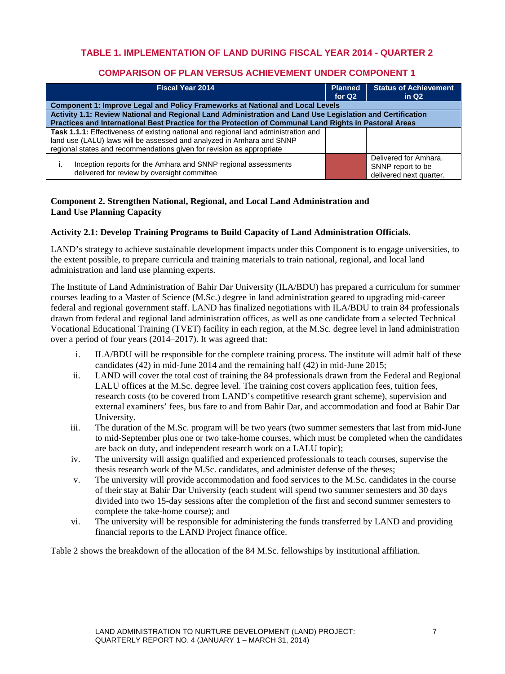#### **TABLE 1. IMPLEMENTATION OF LAND DURING FISCAL YEAR 2014 - QUARTER 2**

#### **COMPARISON OF PLAN VERSUS ACHIEVEMENT UNDER COMPONENT 1**

| <b>Fiscal Year 2014</b>                                                                                                                                                                                                                      | <b>Planned</b><br>for Q <sub>2</sub> | <b>Status of Achievement</b><br>in $Q2$                               |
|----------------------------------------------------------------------------------------------------------------------------------------------------------------------------------------------------------------------------------------------|--------------------------------------|-----------------------------------------------------------------------|
| Component 1: Improve Legal and Policy Frameworks at National and Local Levels                                                                                                                                                                |                                      |                                                                       |
| Activity 1.1: Review National and Regional Land Administration and Land Use Legislation and Certification                                                                                                                                    |                                      |                                                                       |
| Practices and International Best Practice for the Protection of Communal Land Rights in Pastoral Areas                                                                                                                                       |                                      |                                                                       |
| <b>Task 1.1.1:</b> Effectiveness of existing national and regional land administration and<br>land use (LALU) laws will be assessed and analyzed in Amhara and SNNP<br>regional states and recommendations given for revision as appropriate |                                      |                                                                       |
| Inception reports for the Amhara and SNNP regional assessments<br>delivered for review by oversight committee                                                                                                                                |                                      | Delivered for Amhara.<br>SNNP report to be<br>delivered next quarter. |

#### **Component 2. Strengthen National, Regional, and Local Land Administration and Land Use Planning Capacity**

#### **Activity 2.1: Develop Training Programs to Build Capacity of Land Administration Officials.**

LAND's strategy to achieve sustainable development impacts under this Component is to engage universities, to the extent possible, to prepare curricula and training materials to train national, regional, and local land administration and land use planning experts.

The Institute of Land Administration of Bahir Dar University (ILA/BDU) has prepared a curriculum for summer courses leading to a Master of Science (M.Sc.) degree in land administration geared to upgrading mid-career federal and regional government staff. LAND has finalized negotiations with ILA/BDU to train 84 professionals drawn from federal and regional land administration offices, as well as one candidate from a selected Technical Vocational Educational Training (TVET) facility in each region, at the M.Sc. degree level in land administration over a period of four years (2014–2017). It was agreed that:

- i. ILA/BDU will be responsible for the complete training process. The institute will admit half of these candidates (42) in mid-June 2014 and the remaining half (42) in mid-June 2015;
- ii. LAND will cover the total cost of training the 84 professionals drawn from the Federal and Regional LALU offices at the M.Sc. degree level. The training cost covers application fees, tuition fees, research costs (to be covered from LAND's competitive research grant scheme), supervision and external examiners' fees, bus fare to and from Bahir Dar, and accommodation and food at Bahir Dar University.
- iii. The duration of the M.Sc. program will be two years (two summer semesters that last from mid-June to mid-September plus one or two take-home courses, which must be completed when the candidates are back on duty, and independent research work on a LALU topic);
- iv. The university will assign qualified and experienced professionals to teach courses, supervise the thesis research work of the M.Sc. candidates, and administer defense of the theses;
- v. The university will provide accommodation and food services to the M.Sc. candidates in the course of their stay at Bahir Dar University (each student will spend two summer semesters and 30 days divided into two 15-day sessions after the completion of the first and second summer semesters to complete the take-home course); and
- vi. The university will be responsible for administering the funds transferred by LAND and providing financial reports to the LAND Project finance office.

Table 2 shows the breakdown of the allocation of the 84 M.Sc. fellowships by institutional affiliation.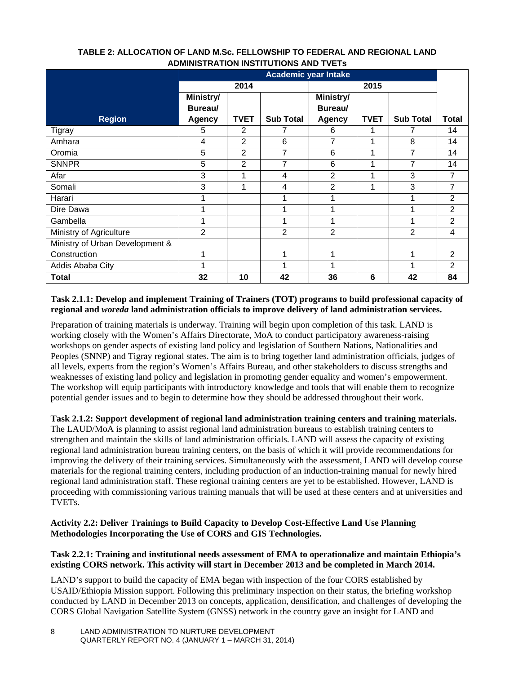| <b>ADMINIOURATION INOTHOLIONO AND TYERS</b> |                             |                |                  |                |             |                  |                |  |  |
|---------------------------------------------|-----------------------------|----------------|------------------|----------------|-------------|------------------|----------------|--|--|
|                                             | <b>Academic year Intake</b> |                |                  |                |             |                  |                |  |  |
|                                             |                             | 2014           |                  |                |             |                  |                |  |  |
|                                             | Ministry/                   |                |                  | Ministry/      |             |                  |                |  |  |
|                                             | Bureau/                     |                |                  | Bureau/        |             |                  |                |  |  |
| <b>Region</b>                               | <b>Agency</b>               | <b>TVET</b>    | <b>Sub Total</b> | <b>Agency</b>  | <b>TVET</b> | <b>Sub Total</b> | <b>Total</b>   |  |  |
| <b>Tigray</b>                               | 5                           | 2              |                  | 6              |             |                  | 14             |  |  |
| Amhara                                      | $\overline{4}$              | $\overline{2}$ | 6                | 7              | 1           | 8                | 14             |  |  |
| Oromia                                      | 5                           | 2              | 7                | 6              | 1           | 7                | 14             |  |  |
| <b>SNNPR</b>                                | 5                           | $\overline{2}$ | 7                | 6              | 1           | 7                | 14             |  |  |
| Afar                                        | 3                           |                | 4                | $\overline{2}$ | 1           | 3                | 7              |  |  |
| Somali                                      | 3                           |                | 4                | $\overline{2}$ | 1           | 3                | 7              |  |  |
| Harari                                      |                             |                |                  |                |             |                  | $\overline{2}$ |  |  |
| Dire Dawa                                   |                             |                |                  |                |             |                  | $\overline{2}$ |  |  |
| Gambella                                    |                             |                |                  |                |             |                  | $\overline{2}$ |  |  |
| Ministry of Agriculture                     | $\overline{2}$              |                | 2                | $\overline{2}$ |             | $\overline{2}$   | 4              |  |  |
| Ministry of Urban Development &             |                             |                |                  |                |             |                  |                |  |  |
| Construction                                |                             |                |                  |                |             |                  | 2              |  |  |
| Addis Ababa City                            |                             |                | 1                | 1              |             |                  | $\overline{2}$ |  |  |
| <b>Total</b>                                | 32                          | 10             | 42               | 36             | 6           | 42               | 84             |  |  |

#### **TABLE 2: ALLOCATION OF LAND M.Sc. FELLOWSHIP TO FEDERAL AND REGIONAL LAND ADMINISTRATION INSTITUTIONS AND TVETs**

#### **Task 2.1.1: Develop and implement Training of Trainers (TOT) programs to build professional capacity of regional and** *woreda* **land administration officials to improve delivery of land administration services.**

Preparation of training materials is underway. Training will begin upon completion of this task. LAND is working closely with the Women's Affairs Directorate, MoA to conduct participatory awareness-raising workshops on gender aspects of existing land policy and legislation of Southern Nations, Nationalities and Peoples (SNNP) and Tigray regional states. The aim is to bring together land administration officials, judges of all levels, experts from the region's Women's Affairs Bureau, and other stakeholders to discuss strengths and weaknesses of existing land policy and legislation in promoting gender equality and women's empowerment. The workshop will equip participants with introductory knowledge and tools that will enable them to recognize potential gender issues and to begin to determine how they should be addressed throughout their work.

**Task 2.1.2: Support development of regional land administration training centers and training materials.** 

The LAUD/MoA is planning to assist regional land administration bureaus to establish training centers to strengthen and maintain the skills of land administration officials. LAND will assess the capacity of existing regional land administration bureau training centers, on the basis of which it will provide recommendations for improving the delivery of their training services. Simultaneously with the assessment, LAND will develop course materials for the regional training centers, including production of an induction-training manual for newly hired regional land administration staff. These regional training centers are yet to be established. However, LAND is proceeding with commissioning various training manuals that will be used at these centers and at universities and TVETs.

#### **Activity 2.2: Deliver Trainings to Build Capacity to Develop Cost-Effective Land Use Planning Methodologies Incorporating the Use of CORS and GIS Technologies.**

#### **Task 2.2.1: Training and institutional needs assessment of EMA to operationalize and maintain Ethiopia's existing CORS network. This activity will start in December 2013 and be completed in March 2014.**

LAND's support to build the capacity of EMA began with inspection of the four CORS established by USAID/Ethiopia Mission support. Following this preliminary inspection on their status, the briefing workshop conducted by LAND in December 2013 on concepts, application, densification, and challenges of developing the CORS Global Navigation Satellite System (GNSS) network in the country gave an insight for LAND and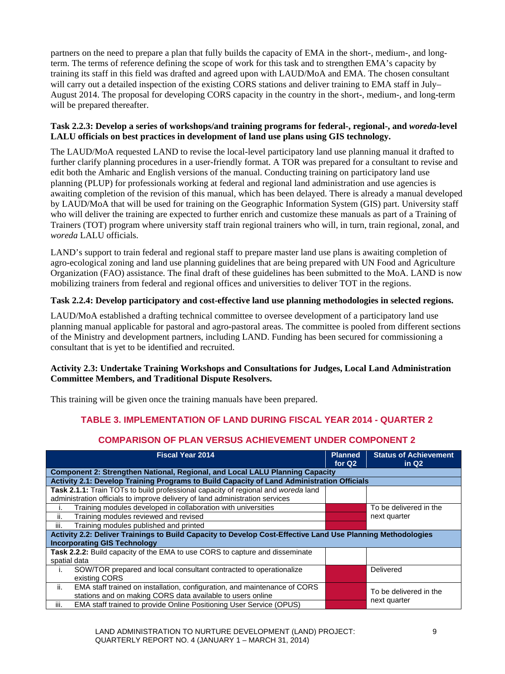partners on the need to prepare a plan that fully builds the capacity of EMA in the short-, medium-, and longterm. The terms of reference defining the scope of work for this task and to strengthen EMA's capacity by training its staff in this field was drafted and agreed upon with LAUD/MoA and EMA. The chosen consultant will carry out a detailed inspection of the existing CORS stations and deliver training to EMA staff in July– August 2014. The proposal for developing CORS capacity in the country in the short-, medium-, and long-term will be prepared thereafter.

#### **Task 2.2.3: Develop a series of workshops/and training programs for federal-, regional-, and** *woreda***-level LALU officials on best practices in development of land use plans using GIS technology.**

The LAUD/MoA requested LAND to revise the local-level participatory land use planning manual it drafted to further clarify planning procedures in a user-friendly format. A TOR was prepared for a consultant to revise and edit both the Amharic and English versions of the manual. Conducting training on participatory land use planning (PLUP) for professionals working at federal and regional land administration and use agencies is awaiting completion of the revision of this manual, which has been delayed. There is already a manual developed by LAUD/MoA that will be used for training on the Geographic Information System (GIS) part. University staff who will deliver the training are expected to further enrich and customize these manuals as part of a Training of Trainers (TOT) program where university staff train regional trainers who will, in turn, train regional, zonal, and *woreda* LALU officials.

LAND's support to train federal and regional staff to prepare master land use plans is awaiting completion of agro-ecological zoning and land use planning guidelines that are being prepared with UN Food and Agriculture Organization (FAO) assistance. The final draft of these guidelines has been submitted to the MoA. LAND is now mobilizing trainers from federal and regional offices and universities to deliver TOT in the regions.

#### **Task 2.2.4: Develop participatory and cost-effective land use planning methodologies in selected regions.**

LAUD/MoA established a drafting technical committee to oversee development of a participatory land use planning manual applicable for pastoral and agro-pastoral areas. The committee is pooled from different sections of the Ministry and development partners, including LAND. Funding has been secured for commissioning a consultant that is yet to be identified and recruited.

#### **Activity 2.3: Undertake Training Workshops and Consultations for Judges, Local Land Administration Committee Members, and Traditional Dispute Resolvers.**

This training will be given once the training manuals have been prepared.

#### **TABLE 3. IMPLEMENTATION OF LAND DURING FISCAL YEAR 2014 - QUARTER 2**

#### **COMPARISON OF PLAN VERSUS ACHIEVEMENT UNDER COMPONENT 2**

| <b>Fiscal Year 2014</b>                                                                                                                                           | <b>Planned</b><br>for $Q2$ | <b>Status of Achievement</b><br>in $Q2$ |
|-------------------------------------------------------------------------------------------------------------------------------------------------------------------|----------------------------|-----------------------------------------|
| <b>Component 2: Strengthen National, Regional, and Local LALU Planning Capacity</b>                                                                               |                            |                                         |
| Activity 2.1: Develop Training Programs to Build Capacity of Land Administration Officials                                                                        |                            |                                         |
| Task 2.1.1: Train TOTs to build professional capacity of regional and woreda land<br>administration officials to improve delivery of land administration services |                            |                                         |
| Training modules developed in collaboration with universities                                                                                                     |                            | To be delivered in the                  |
| ii.<br>Training modules reviewed and revised                                                                                                                      |                            | next quarter                            |
| Training modules published and printed<br>Ш.                                                                                                                      |                            |                                         |
| Activity 2.2: Deliver Trainings to Build Capacity to Develop Cost-Effective Land Use Planning Methodologies                                                       |                            |                                         |
| <b>Incorporating GIS Technology</b>                                                                                                                               |                            |                                         |
| Task 2.2.2: Build capacity of the EMA to use CORS to capture and disseminate                                                                                      |                            |                                         |
| spatial data                                                                                                                                                      |                            |                                         |
| SOW/TOR prepared and local consultant contracted to operationalize<br>$\mathbf{L}$                                                                                |                            | Delivered                               |
| existing CORS                                                                                                                                                     |                            |                                         |
| ii.<br>EMA staff trained on installation, configuration, and maintenance of CORS                                                                                  |                            | To be delivered in the                  |
| stations and on making CORS data available to users online                                                                                                        |                            | next quarter                            |
| EMA staff trained to provide Online Positioning User Service (OPUS)<br>iii.                                                                                       |                            |                                         |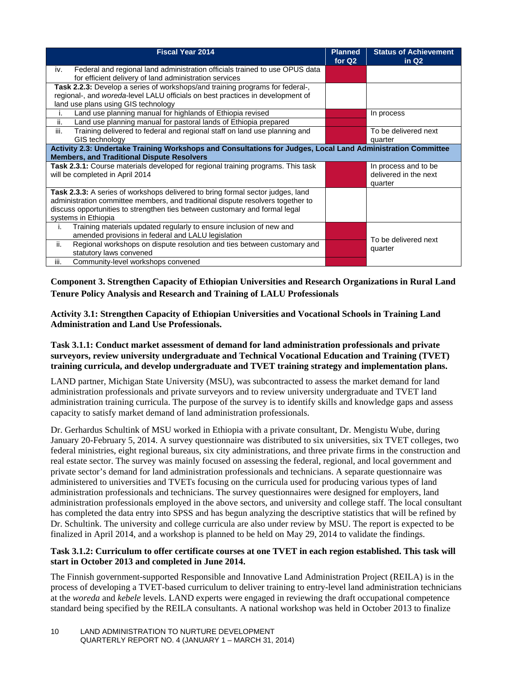| <b>Fiscal Year 2014</b>                                                                                                                                                                                                                                                  | <b>Planned</b><br>for Q <sub>2</sub> | <b>Status of Achievement</b><br>in $Q2$                  |
|--------------------------------------------------------------------------------------------------------------------------------------------------------------------------------------------------------------------------------------------------------------------------|--------------------------------------|----------------------------------------------------------|
| Federal and regional land administration officials trained to use OPUS data<br>iv.<br>for efficient delivery of land administration services                                                                                                                             |                                      |                                                          |
| Task 2.2.3: Develop a series of workshops/and training programs for federal-,<br>regional-, and woreda-level LALU officials on best practices in development of<br>land use plans using GIS technology                                                                   |                                      |                                                          |
| Land use planning manual for highlands of Ethiopia revised<br>Land use planning manual for pastoral lands of Ethiopia prepared<br>ii.                                                                                                                                    |                                      | In process                                               |
| iii.<br>Training delivered to federal and regional staff on land use planning and<br>GIS technology                                                                                                                                                                      |                                      | To be delivered next<br>quarter                          |
| Activity 2.3: Undertake Training Workshops and Consultations for Judges, Local Land Administration Committee<br><b>Members, and Traditional Dispute Resolvers</b>                                                                                                        |                                      |                                                          |
| <b>Task 2.3.1:</b> Course materials developed for regional training programs. This task<br>will be completed in April 2014                                                                                                                                               |                                      | In process and to be<br>delivered in the next<br>quarter |
| Task 2.3.3: A series of workshops delivered to bring formal sector judges, land<br>administration committee members, and traditional dispute resolvers together to<br>discuss opportunities to strengthen ties between customary and formal legal<br>systems in Ethiopia |                                      |                                                          |
| Training materials updated regularly to ensure inclusion of new and<br>i.<br>amended provisions in federal and LALU legislation<br>ii.<br>Regional workshops on dispute resolution and ties between customary and                                                        |                                      | To be delivered next                                     |
| statutory laws convened<br>iii.<br>Community-level workshops convened                                                                                                                                                                                                    |                                      | quarter                                                  |

**Component 3. Strengthen Capacity of Ethiopian Universities and Research Organizations in Rural Land Tenure Policy Analysis and Research and Training of LALU Professionals** 

**Activity 3.1: Strengthen Capacity of Ethiopian Universities and Vocational Schools in Training Land Administration and Land Use Professionals.**

#### **Task 3.1.1: Conduct market assessment of demand for land administration professionals and private surveyors, review university undergraduate and Technical Vocational Education and Training (TVET) training curricula, and develop undergraduate and TVET training strategy and implementation plans.**

LAND partner, Michigan State University (MSU), was subcontracted to assess the market demand for land administration professionals and private surveyors and to review university undergraduate and TVET land administration training curricula. The purpose of the survey is to identify skills and knowledge gaps and assess capacity to satisfy market demand of land administration professionals.

Dr. Gerhardus Schultink of MSU worked in Ethiopia with a private consultant, Dr. Mengistu Wube, during January 20-February 5, 2014. A survey questionnaire was distributed to six universities, six TVET colleges, two federal ministries, eight regional bureaus, six city administrations, and three private firms in the construction and real estate sector. The survey was mainly focused on assessing the federal, regional, and local government and private sector's demand for land administration professionals and technicians. A separate questionnaire was administered to universities and TVETs focusing on the curricula used for producing various types of land administration professionals and technicians. The survey questionnaires were designed for employers, land administration professionals employed in the above sectors, and university and college staff. The local consultant has completed the data entry into SPSS and has begun analyzing the descriptive statistics that will be refined by Dr. Schultink. The university and college curricula are also under review by MSU. The report is expected to be finalized in April 2014, and a workshop is planned to be held on May 29, 2014 to validate the findings.

#### **Task 3.1.2: Curriculum to offer certificate courses at one TVET in each region established. This task will start in October 2013 and completed in June 2014.**

The Finnish government-supported Responsible and Innovative Land Administration Project (REILA) is in the process of developing a TVET-based curriculum to deliver training to entry-level land administration technicians at the *woreda* and *kebele* levels. LAND experts were engaged in reviewing the draft occupational competence standard being specified by the REILA consultants. A national workshop was held in October 2013 to finalize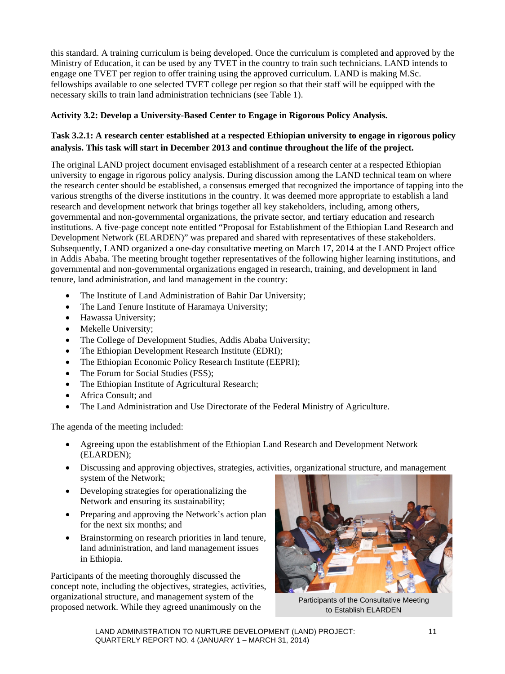this standard. A training curriculum is being developed. Once the curriculum is completed and approved by the Ministry of Education, it can be used by any TVET in the country to train such technicians. LAND intends to engage one TVET per region to offer training using the approved curriculum. LAND is making M.Sc. fellowships available to one selected TVET college per region so that their staff will be equipped with the necessary skills to train land administration technicians (see Table 1).

#### **Activity 3.2: Develop a University-Based Center to Engage in Rigorous Policy Analysis.**

#### **Task 3.2.1: A research center established at a respected Ethiopian university to engage in rigorous policy analysis. This task will start in December 2013 and continue throughout the life of the project.**

The original LAND project document envisaged establishment of a research center at a respected Ethiopian university to engage in rigorous policy analysis. During discussion among the LAND technical team on where the research center should be established, a consensus emerged that recognized the importance of tapping into the various strengths of the diverse institutions in the country. It was deemed more appropriate to establish a land research and development network that brings together all key stakeholders, including, among others, governmental and non-governmental organizations, the private sector, and tertiary education and research institutions. A five-page concept note entitled "Proposal for Establishment of the Ethiopian Land Research and Development Network (ELARDEN)" was prepared and shared with representatives of these stakeholders. Subsequently, LAND organized a one-day consultative meeting on March 17, 2014 at the LAND Project office in Addis Ababa. The meeting brought together representatives of the following higher learning institutions, and governmental and non-governmental organizations engaged in research, training, and development in land tenure, land administration, and land management in the country:

- The Institute of Land Administration of Bahir Dar University;
- The Land Tenure Institute of Haramaya University;
- Hawassa University;
- Mekelle University;
- The College of Development Studies, Addis Ababa University;
- The Ethiopian Development Research Institute (EDRI);
- The Ethiopian Economic Policy Research Institute (EEPRI);
- The Forum for Social Studies (FSS);
- The Ethiopian Institute of Agricultural Research;
- Africa Consult; and
- The Land Administration and Use Directorate of the Federal Ministry of Agriculture.

The agenda of the meeting included:

- Agreeing upon the establishment of the Ethiopian Land Research and Development Network (ELARDEN);
- Discussing and approving objectives, strategies, activities, organizational structure, and management system of the Network;
- Developing strategies for operationalizing the Network and ensuring its sustainability;
- Preparing and approving the Network's action plan for the next six months; and
- Brainstorming on research priorities in land tenure, land administration, and land management issues in Ethiopia.

Participants of the meeting thoroughly discussed the concept note, including the objectives, strategies, activities, organizational structure, and management system of the organizational structure, and management system of the Participants of the Consultative Meeting<br>proposed network. While they agreed unanimously on the the Farablish FLARDEN



to Establish ELARDEN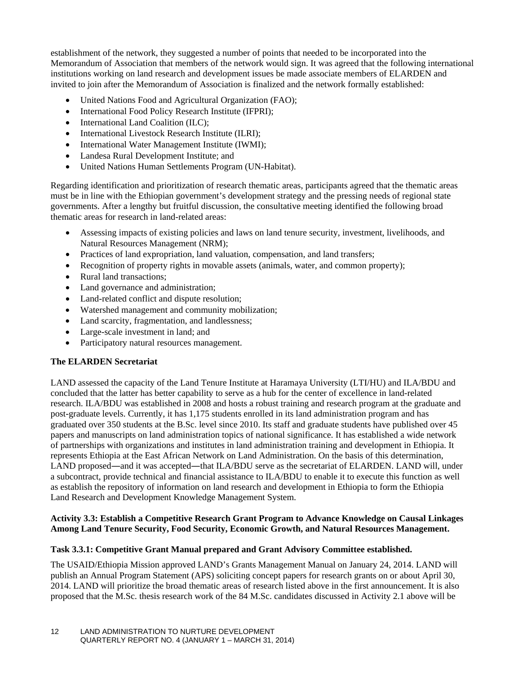establishment of the network, they suggested a number of points that needed to be incorporated into the Memorandum of Association that members of the network would sign. It was agreed that the following international institutions working on land research and development issues be made associate members of ELARDEN and invited to join after the Memorandum of Association is finalized and the network formally established:

- United Nations Food and Agricultural Organization (FAO);
- International Food Policy Research Institute (IFPRI);
- International Land Coalition (ILC);
- International Livestock Research Institute (ILRI);
- International Water Management Institute (IWMI);
- Landesa Rural Development Institute; and
- United Nations Human Settlements Program (UN-Habitat).

Regarding identification and prioritization of research thematic areas, participants agreed that the thematic areas must be in line with the Ethiopian government's development strategy and the pressing needs of regional state governments. After a lengthy but fruitful discussion, the consultative meeting identified the following broad thematic areas for research in land-related areas:

- Assessing impacts of existing policies and laws on land tenure security, investment, livelihoods, and Natural Resources Management (NRM);
- Practices of land expropriation, land valuation, compensation, and land transfers;
- Recognition of property rights in movable assets (animals, water, and common property);
- Rural land transactions;
- Land governance and administration;
- Land-related conflict and dispute resolution;
- Watershed management and community mobilization;
- Land scarcity, fragmentation, and landlessness;
- Large-scale investment in land; and
- Participatory natural resources management.

#### **The ELARDEN Secretariat**

LAND assessed the capacity of the Land Tenure Institute at Haramaya University (LTI/HU) and ILA/BDU and concluded that the latter has better capability to serve as a hub for the center of excellence in land-related research. ILA/BDU was established in 2008 and hosts a robust training and research program at the graduate and post-graduate levels. Currently, it has 1,175 students enrolled in its land administration program and has graduated over 350 students at the B.Sc. level since 2010. Its staff and graduate students have published over 45 papers and manuscripts on land administration topics of national significance. It has established a wide network of partnerships with organizations and institutes in land administration training and development in Ethiopia. It represents Ethiopia at the East African Network on Land Administration. On the basis of this determination, LAND proposed—and it was accepted—that ILA/BDU serve as the secretariat of ELARDEN. LAND will, under a subcontract, provide technical and financial assistance to ILA/BDU to enable it to execute this function as well as establish the repository of information on land research and development in Ethiopia to form the Ethiopia Land Research and Development Knowledge Management System.

#### **Activity 3.3: Establish a Competitive Research Grant Program to Advance Knowledge on Causal Linkages Among Land Tenure Security, Food Security, Economic Growth, and Natural Resources Management.**

#### **Task 3.3.1: Competitive Grant Manual prepared and Grant Advisory Committee established.**

The USAID/Ethiopia Mission approved LAND's Grants Management Manual on January 24, 2014. LAND will publish an Annual Program Statement (APS) soliciting concept papers for research grants on or about April 30, 2014. LAND will prioritize the broad thematic areas of research listed above in the first announcement. It is also proposed that the M.Sc. thesis research work of the 84 M.Sc. candidates discussed in Activity 2.1 above will be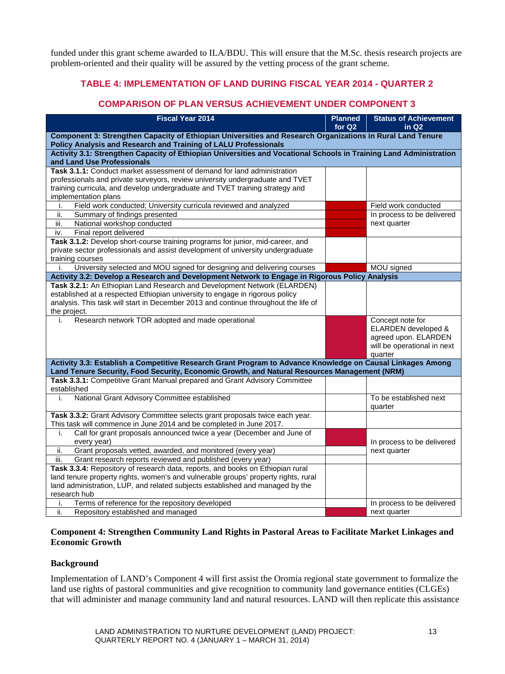funded under this grant scheme awarded to ILA/BDU. This will ensure that the M.Sc. thesis research projects are problem-oriented and their quality will be assured by the vetting process of the grant scheme.

#### **TABLE 4: IMPLEMENTATION OF LAND DURING FISCAL YEAR 2014 - QUARTER 2**

#### **COMPARISON OF PLAN VERSUS ACHIEVEMENT UNDER COMPONENT 3**

| <b>Fiscal Year 2014</b>                                                                                                                                       | <b>Planned</b><br>for Q <sub>2</sub> | <b>Status of Achievement</b><br>in $Q2$     |  |  |  |  |  |
|---------------------------------------------------------------------------------------------------------------------------------------------------------------|--------------------------------------|---------------------------------------------|--|--|--|--|--|
| Component 3: Strengthen Capacity of Ethiopian Universities and Research Organizations in Rural Land Tenure                                                    |                                      |                                             |  |  |  |  |  |
| Policy Analysis and Research and Training of LALU Professionals                                                                                               |                                      |                                             |  |  |  |  |  |
| Activity 3.1: Strengthen Capacity of Ethiopian Universities and Vocational Schools in Training Land Administration                                            |                                      |                                             |  |  |  |  |  |
| and Land Use Professionals                                                                                                                                    |                                      |                                             |  |  |  |  |  |
| Task 3.1.1: Conduct market assessment of demand for land administration                                                                                       |                                      |                                             |  |  |  |  |  |
| professionals and private surveyors, review university undergraduate and TVET<br>training curricula, and develop undergraduate and TVET training strategy and |                                      |                                             |  |  |  |  |  |
| implementation plans                                                                                                                                          |                                      |                                             |  |  |  |  |  |
| Field work conducted; University curricula reviewed and analyzed<br>i.                                                                                        |                                      | Field work conducted                        |  |  |  |  |  |
| Summary of findings presented<br>ii.                                                                                                                          |                                      | In process to be delivered                  |  |  |  |  |  |
| iii.<br>National workshop conducted                                                                                                                           |                                      | next quarter                                |  |  |  |  |  |
| Final report delivered<br>iv.                                                                                                                                 |                                      |                                             |  |  |  |  |  |
| Task 3.1.2: Develop short-course training programs for junior, mid-career, and                                                                                |                                      |                                             |  |  |  |  |  |
| private sector professionals and assist development of university undergraduate                                                                               |                                      |                                             |  |  |  |  |  |
| training courses                                                                                                                                              |                                      |                                             |  |  |  |  |  |
| University selected and MOU signed for designing and delivering courses<br>i.                                                                                 |                                      | MOU signed                                  |  |  |  |  |  |
| Activity 3.2: Develop a Research and Development Network to Engage in Rigorous Policy Analysis                                                                |                                      |                                             |  |  |  |  |  |
| Task 3.2.1: An Ethiopian Land Research and Development Network (ELARDEN)                                                                                      |                                      |                                             |  |  |  |  |  |
| established at a respected Ethiopian university to engage in rigorous policy                                                                                  |                                      |                                             |  |  |  |  |  |
| analysis. This task will start in December 2013 and continue throughout the life of                                                                           |                                      |                                             |  |  |  |  |  |
| the project.                                                                                                                                                  |                                      |                                             |  |  |  |  |  |
| Research network TOR adopted and made operational<br>i.                                                                                                       |                                      | Concept note for                            |  |  |  |  |  |
|                                                                                                                                                               |                                      | ELARDEN developed &<br>agreed upon. ELARDEN |  |  |  |  |  |
|                                                                                                                                                               |                                      | will be operational in next                 |  |  |  |  |  |
|                                                                                                                                                               |                                      | quarter                                     |  |  |  |  |  |
| Activity 3.3: Establish a Competitive Research Grant Program to Advance Knowledge on Causal Linkages Among                                                    |                                      |                                             |  |  |  |  |  |
| Land Tenure Security, Food Security, Economic Growth, and Natural Resources Management (NRM)                                                                  |                                      |                                             |  |  |  |  |  |
| Task 3.3.1: Competitive Grant Manual prepared and Grant Advisory Committee                                                                                    |                                      |                                             |  |  |  |  |  |
| established                                                                                                                                                   |                                      |                                             |  |  |  |  |  |
| National Grant Advisory Committee established<br>i.                                                                                                           |                                      | To be established next                      |  |  |  |  |  |
|                                                                                                                                                               |                                      | quarter                                     |  |  |  |  |  |
| Task 3.3.2: Grant Advisory Committee selects grant proposals twice each year.                                                                                 |                                      |                                             |  |  |  |  |  |
| This task will commence in June 2014 and be completed in June 2017.                                                                                           |                                      |                                             |  |  |  |  |  |
| Call for grant proposals announced twice a year (December and June of<br>i.                                                                                   |                                      |                                             |  |  |  |  |  |
| every year)                                                                                                                                                   |                                      | In process to be delivered                  |  |  |  |  |  |
| Grant proposals vetted, awarded, and monitored (every year)<br>ii.                                                                                            |                                      | next quarter                                |  |  |  |  |  |
| iii.<br>Grant research reports reviewed and published (every year)<br>Task 3.3.4: Repository of research data, reports, and books on Ethiopian rural          |                                      |                                             |  |  |  |  |  |
| land tenure property rights, women's and vulnerable groups' property rights, rural                                                                            |                                      |                                             |  |  |  |  |  |
| land administration, LUP, and related subjects established and managed by the                                                                                 |                                      |                                             |  |  |  |  |  |
| research hub                                                                                                                                                  |                                      |                                             |  |  |  |  |  |
| Terms of reference for the repository developed<br>Ť.                                                                                                         |                                      | In process to be delivered                  |  |  |  |  |  |
| ii.<br>Repository established and managed                                                                                                                     |                                      | next quarter                                |  |  |  |  |  |

#### **Component 4: Strengthen Community Land Rights in Pastoral Areas to Facilitate Market Linkages and Economic Growth**

#### **Background**

Implementation of LAND's Component 4 will first assist the Oromia regional state government to formalize the land use rights of pastoral communities and give recognition to community land governance entities (CLGEs) that will administer and manage community land and natural resources. LAND will then replicate this assistance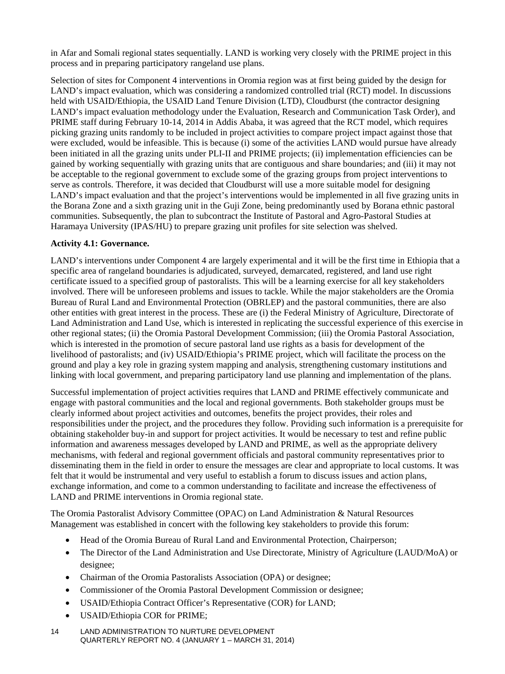in Afar and Somali regional states sequentially. LAND is working very closely with the PRIME project in this process and in preparing participatory rangeland use plans.

Selection of sites for Component 4 interventions in Oromia region was at first being guided by the design for LAND's impact evaluation, which was considering a randomized controlled trial (RCT) model. In discussions held with USAID/Ethiopia, the USAID Land Tenure Division (LTD), Cloudburst (the contractor designing LAND's impact evaluation methodology under the Evaluation, Research and Communication Task Order), and PRIME staff during February 10-14, 2014 in Addis Ababa, it was agreed that the RCT model, which requires picking grazing units randomly to be included in project activities to compare project impact against those that were excluded, would be infeasible. This is because (i) some of the activities LAND would pursue have already been initiated in all the grazing units under PLI-II and PRIME projects; (ii) implementation efficiencies can be gained by working sequentially with grazing units that are contiguous and share boundaries; and (iii) it may not be acceptable to the regional government to exclude some of the grazing groups from project interventions to serve as controls. Therefore, it was decided that Cloudburst will use a more suitable model for designing LAND's impact evaluation and that the project's interventions would be implemented in all five grazing units in the Borana Zone and a sixth grazing unit in the Guji Zone, being predominantly used by Borana ethnic pastoral communities. Subsequently, the plan to subcontract the Institute of Pastoral and Agro-Pastoral Studies at Haramaya University (IPAS/HU) to prepare grazing unit profiles for site selection was shelved.

#### **Activity 4.1: Governance.**

LAND's interventions under Component 4 are largely experimental and it will be the first time in Ethiopia that a specific area of rangeland boundaries is adjudicated, surveyed, demarcated, registered, and land use right certificate issued to a specified group of pastoralists. This will be a learning exercise for all key stakeholders involved. There will be unforeseen problems and issues to tackle. While the major stakeholders are the Oromia Bureau of Rural Land and Environmental Protection (OBRLEP) and the pastoral communities, there are also other entities with great interest in the process. These are (i) the Federal Ministry of Agriculture, Directorate of Land Administration and Land Use, which is interested in replicating the successful experience of this exercise in other regional states; (ii) the Oromia Pastoral Development Commission; (iii) the Oromia Pastoral Association, which is interested in the promotion of secure pastoral land use rights as a basis for development of the livelihood of pastoralists; and (iv) USAID/Ethiopia's PRIME project, which will facilitate the process on the ground and play a key role in grazing system mapping and analysis, strengthening customary institutions and linking with local government, and preparing participatory land use planning and implementation of the plans.

Successful implementation of project activities requires that LAND and PRIME effectively communicate and engage with pastoral communities and the local and regional governments. Both stakeholder groups must be clearly informed about project activities and outcomes, benefits the project provides, their roles and responsibilities under the project, and the procedures they follow. Providing such information is a prerequisite for obtaining stakeholder buy-in and support for project activities. It would be necessary to test and refine public information and awareness messages developed by LAND and PRIME, as well as the appropriate delivery mechanisms, with federal and regional government officials and pastoral community representatives prior to disseminating them in the field in order to ensure the messages are clear and appropriate to local customs. It was felt that it would be instrumental and very useful to establish a forum to discuss issues and action plans, exchange information, and come to a common understanding to facilitate and increase the effectiveness of LAND and PRIME interventions in Oromia regional state.

The Oromia Pastoralist Advisory Committee (OPAC) on Land Administration & Natural Resources Management was established in concert with the following key stakeholders to provide this forum:

- Head of the Oromia Bureau of Rural Land and Environmental Protection, Chairperson;
- The Director of the Land Administration and Use Directorate, Ministry of Agriculture (LAUD/MoA) or designee;
- Chairman of the Oromia Pastoralists Association (OPA) or designee;
- Commissioner of the Oromia Pastoral Development Commission or designee;
- USAID/Ethiopia Contract Officer's Representative (COR) for LAND;
- USAID/Ethiopia COR for PRIME;
- 14 LAND ADMINISTRATION TO NURTURE DEVELOPMENT QUARTERLY REPORT NO. 4 (JANUARY 1 – MARCH 31, 2014)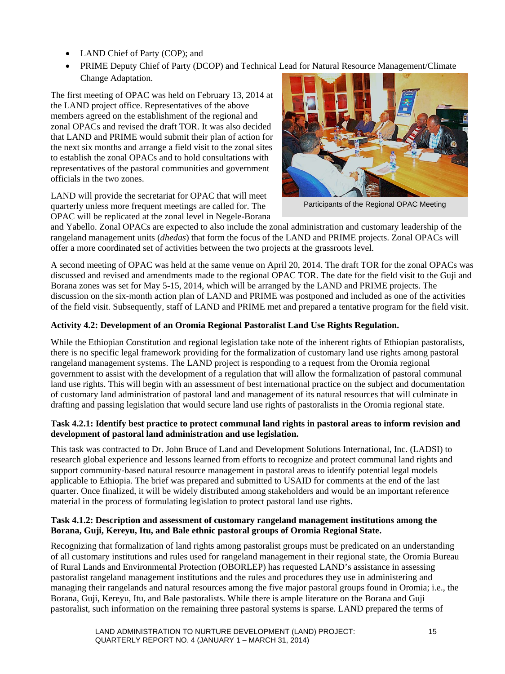- LAND Chief of Party (COP); and
- PRIME Deputy Chief of Party (DCOP) and Technical Lead for Natural Resource Management/Climate Change Adaptation.

The first meeting of OPAC was held on February 13, 2014 at the LAND project office. Representatives of the above members agreed on the establishment of the regional and zonal OPACs and revised the draft TOR. It was also decided that LAND and PRIME would submit their plan of action for the next six months and arrange a field visit to the zonal sites to establish the zonal OPACs and to hold consultations with representatives of the pastoral communities and government officials in the two zones.

LAND will provide the secretariat for OPAC that will meet quarterly unless more frequent meetings are called for. The OPAC will be replicated at the zonal level in Negele-Borana



Participants of the Regional OPAC Meeting

and Yabello. Zonal OPACs are expected to also include the zonal administration and customary leadership of the rangeland management units (*dhedas*) that form the focus of the LAND and PRIME projects. Zonal OPACs will offer a more coordinated set of activities between the two projects at the grassroots level.

A second meeting of OPAC was held at the same venue on April 20, 2014. The draft TOR for the zonal OPACs was discussed and revised and amendments made to the regional OPAC TOR. The date for the field visit to the Guji and Borana zones was set for May 5-15, 2014, which will be arranged by the LAND and PRIME projects. The discussion on the six-month action plan of LAND and PRIME was postponed and included as one of the activities of the field visit. Subsequently, staff of LAND and PRIME met and prepared a tentative program for the field visit.

#### **Activity 4.2: Development of an Oromia Regional Pastoralist Land Use Rights Regulation.**

While the Ethiopian Constitution and regional legislation take note of the inherent rights of Ethiopian pastoralists, there is no specific legal framework providing for the formalization of customary land use rights among pastoral rangeland management systems. The LAND project is responding to a request from the Oromia regional government to assist with the development of a regulation that will allow the formalization of pastoral communal land use rights. This will begin with an assessment of best international practice on the subject and documentation of customary land administration of pastoral land and management of its natural resources that will culminate in drafting and passing legislation that would secure land use rights of pastoralists in the Oromia regional state.

#### **Task 4.2.1: Identify best practice to protect communal land rights in pastoral areas to inform revision and development of pastoral land administration and use legislation.**

This task was contracted to Dr. John Bruce of Land and Development Solutions International, Inc. (LADSI) to research global experience and lessons learned from efforts to recognize and protect communal land rights and support community-based natural resource management in pastoral areas to identify potential legal models applicable to Ethiopia. The brief was prepared and submitted to USAID for comments at the end of the last quarter. Once finalized, it will be widely distributed among stakeholders and would be an important reference material in the process of formulating legislation to protect pastoral land use rights.

#### **Task 4.1.2: Description and assessment of customary rangeland management institutions among the Borana, Guji, Kereyu, Itu, and Bale ethnic pastoral groups of Oromia Regional State.**

Recognizing that formalization of land rights among pastoralist groups must be predicated on an understanding of all customary institutions and rules used for rangeland management in their regional state, the Oromia Bureau of Rural Lands and Environmental Protection (OBORLEP) has requested LAND's assistance in assessing pastoralist rangeland management institutions and the rules and procedures they use in administering and managing their rangelands and natural resources among the five major pastoral groups found in Oromia; i.e., the Borana, Guji, Kereyu, Itu, and Bale pastoralists. While there is ample literature on the Borana and Guji pastoralist, such information on the remaining three pastoral systems is sparse. LAND prepared the terms of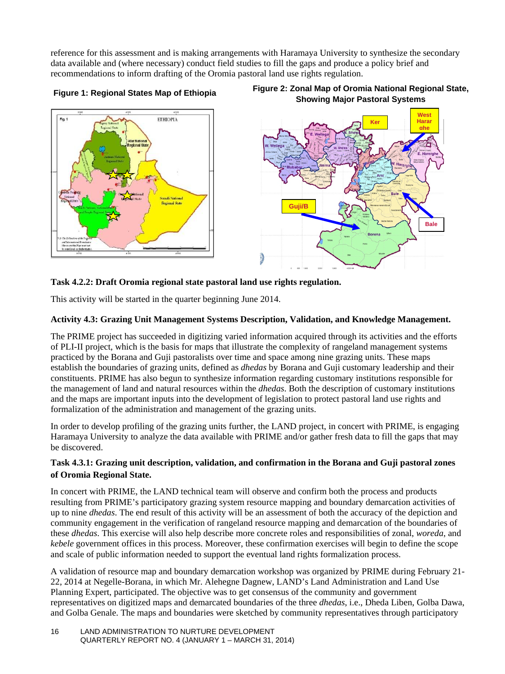reference for this assessment and is making arrangements with Haramaya University to synthesize the secondary data available and (where necessary) conduct field studies to fill the gaps and produce a policy brief and recommendations to inform drafting of the Oromia pastoral land use rights regulation.







#### **Task 4.2.2: Draft Oromia regional state pastoral land use rights regulation.**

This activity will be started in the quarter beginning June 2014.

#### **Activity 4.3: Grazing Unit Management Systems Description, Validation, and Knowledge Management.**

The PRIME project has succeeded in digitizing varied information acquired through its activities and the efforts of PLI-II project, which is the basis for maps that illustrate the complexity of rangeland management systems practiced by the Borana and Guji pastoralists over time and space among nine grazing units. These maps establish the boundaries of grazing units, defined as *dhedas* by Borana and Guji customary leadership and their constituents. PRIME has also begun to synthesize information regarding customary institutions responsible for the management of land and natural resources within the *dhedas*. Both the description of customary institutions and the maps are important inputs into the development of legislation to protect pastoral land use rights and formalization of the administration and management of the grazing units.

In order to develop profiling of the grazing units further, the LAND project, in concert with PRIME, is engaging Haramaya University to analyze the data available with PRIME and/or gather fresh data to fill the gaps that may be discovered.

#### **Task 4.3.1: Grazing unit description, validation, and confirmation in the Borana and Guji pastoral zones of Oromia Regional State.**

In concert with PRIME, the LAND technical team will observe and confirm both the process and products resulting from PRIME's participatory grazing system resource mapping and boundary demarcation activities of up to nine *dhedas*. The end result of this activity will be an assessment of both the accuracy of the depiction and community engagement in the verification of rangeland resource mapping and demarcation of the boundaries of these *dhedas*. This exercise will also help describe more concrete roles and responsibilities of zonal, *woreda*, and *kebele* government offices in this process. Moreover, these confirmation exercises will begin to define the scope and scale of public information needed to support the eventual land rights formalization process.

A validation of resource map and boundary demarcation workshop was organized by PRIME during February 21- 22, 2014 at Negelle-Borana, in which Mr. Alehegne Dagnew, LAND's Land Administration and Land Use Planning Expert, participated. The objective was to get consensus of the community and government representatives on digitized maps and demarcated boundaries of the three *dhedas*, i.e., Dheda Liben, Golba Dawa, and Golba Genale. The maps and boundaries were sketched by community representatives through participatory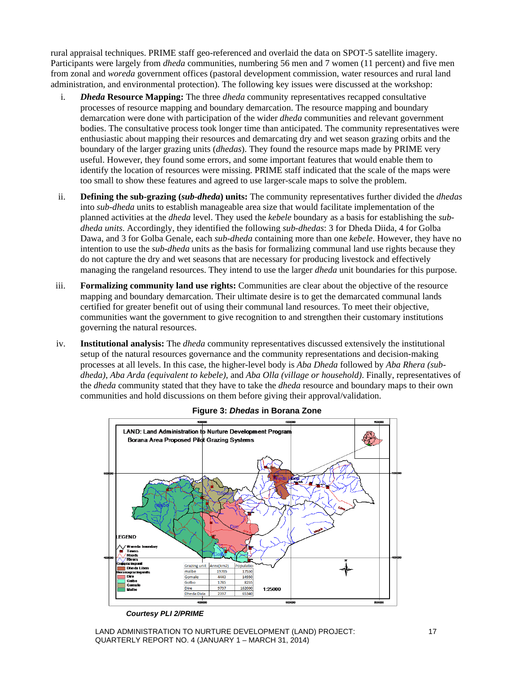rural appraisal techniques. PRIME staff geo-referenced and overlaid the data on SPOT-5 satellite imagery. Participants were largely from *dheda* communities, numbering 56 men and 7 women (11 percent) and five men from zonal and *woreda* government offices (pastoral development commission, water resources and rural land administration, and environmental protection). The following key issues were discussed at the workshop:

- i. *Dheda* **Resource Mapping:** The three *dheda* community representatives recapped consultative processes of resource mapping and boundary demarcation. The resource mapping and boundary demarcation were done with participation of the wider *dheda* communities and relevant government bodies. The consultative process took longer time than anticipated. The community representatives were enthusiastic about mapping their resources and demarcating dry and wet season grazing orbits and the boundary of the larger grazing units (*dhedas*). They found the resource maps made by PRIME very useful. However, they found some errors, and some important features that would enable them to identify the location of resources were missing. PRIME staff indicated that the scale of the maps were too small to show these features and agreed to use larger-scale maps to solve the problem.
- ii. **Defining the sub-grazing (***sub-dheda***) units:** The community representatives further divided the *dhedas* into *sub-dheda* units to establish manageable area size that would facilitate implementation of the planned activities at the *dheda* level. They used the *kebele* boundary as a basis for establishing the *subdheda units*. Accordingly, they identified the following *sub*-*dhedas*: 3 for Dheda Diida, 4 for Golba Dawa, and 3 for Golba Genale, each *sub-dheda* containing more than one *kebele*. However, they have no intention to use the *sub-dheda* units as the basis for formalizing communal land use rights because they do not capture the dry and wet seasons that are necessary for producing livestock and effectively managing the rangeland resources. They intend to use the larger *dheda* unit boundaries for this purpose.
- iii. **Formalizing community land use rights:** Communities are clear about the objective of the resource mapping and boundary demarcation. Their ultimate desire is to get the demarcated communal lands certified for greater benefit out of using their communal land resources. To meet their objective, communities want the government to give recognition to and strengthen their customary institutions governing the natural resources.
- iv. **Institutional analysis:** The *dheda* community representatives discussed extensively the institutional setup of the natural resources governance and the community representations and decision-making processes at all levels. In this case, the higher-level body is *Aba Dheda* followed by *Aba Rhera (subdheda)*, *Aba Arda (equivalent to kebele)*, and *Aba Olla (village or household)*. Finally, representatives of the *dheda* community stated that they have to take the *dheda* resource and boundary maps to their own communities and hold discussions on them before giving their approval/validation.





*Courtesy PLI 2/PRIME*

LAND ADMINISTRATION TO NURTURE DEVELOPMENT (LAND) PROJECT: 17 QUARTERLY REPORT NO. 4 (JANUARY 1 – MARCH 31, 2014)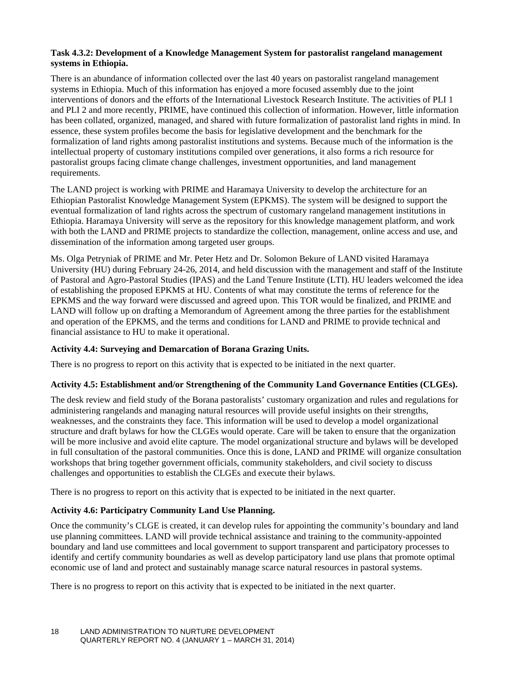#### **Task 4.3.2: Development of a Knowledge Management System for pastoralist rangeland management systems in Ethiopia.**

There is an abundance of information collected over the last 40 years on pastoralist rangeland management systems in Ethiopia. Much of this information has enjoyed a more focused assembly due to the joint interventions of donors and the efforts of the International Livestock Research Institute. The activities of PLI 1 and PLI 2 and more recently, PRIME, have continued this collection of information. However, little information has been collated, organized, managed, and shared with future formalization of pastoralist land rights in mind. In essence, these system profiles become the basis for legislative development and the benchmark for the formalization of land rights among pastoralist institutions and systems. Because much of the information is the intellectual property of customary institutions compiled over generations, it also forms a rich resource for pastoralist groups facing climate change challenges, investment opportunities, and land management requirements.

The LAND project is working with PRIME and Haramaya University to develop the architecture for an Ethiopian Pastoralist Knowledge Management System (EPKMS). The system will be designed to support the eventual formalization of land rights across the spectrum of customary rangeland management institutions in Ethiopia. Haramaya University will serve as the repository for this knowledge management platform, and work with both the LAND and PRIME projects to standardize the collection, management, online access and use, and dissemination of the information among targeted user groups.

Ms. Olga Petryniak of PRIME and Mr. Peter Hetz and Dr. Solomon Bekure of LAND visited Haramaya University (HU) during February 24-26, 2014, and held discussion with the management and staff of the Institute of Pastoral and Agro-Pastoral Studies (IPAS) and the Land Tenure Institute (LTI). HU leaders welcomed the idea of establishing the proposed EPKMS at HU. Contents of what may constitute the terms of reference for the EPKMS and the way forward were discussed and agreed upon. This TOR would be finalized, and PRIME and LAND will follow up on drafting a Memorandum of Agreement among the three parties for the establishment and operation of the EPKMS, and the terms and conditions for LAND and PRIME to provide technical and financial assistance to HU to make it operational.

#### **Activity 4.4: Surveying and Demarcation of Borana Grazing Units.**

There is no progress to report on this activity that is expected to be initiated in the next quarter.

#### **Activity 4.5: Establishment and/or Strengthening of the Community Land Governance Entities (CLGEs).**

The desk review and field study of the Borana pastoralists' customary organization and rules and regulations for administering rangelands and managing natural resources will provide useful insights on their strengths, weaknesses, and the constraints they face. This information will be used to develop a model organizational structure and draft bylaws for how the CLGEs would operate. Care will be taken to ensure that the organization will be more inclusive and avoid elite capture. The model organizational structure and bylaws will be developed in full consultation of the pastoral communities. Once this is done, LAND and PRIME will organize consultation workshops that bring together government officials, community stakeholders, and civil society to discuss challenges and opportunities to establish the CLGEs and execute their bylaws.

There is no progress to report on this activity that is expected to be initiated in the next quarter.

#### **Activity 4.6: Participatry Community Land Use Planning.**

Once the community's CLGE is created, it can develop rules for appointing the community's boundary and land use planning committees. LAND will provide technical assistance and training to the community-appointed boundary and land use committees and local government to support transparent and participatory processes to identify and certify community boundaries as well as develop participatory land use plans that promote optimal economic use of land and protect and sustainably manage scarce natural resources in pastoral systems.

There is no progress to report on this activity that is expected to be initiated in the next quarter.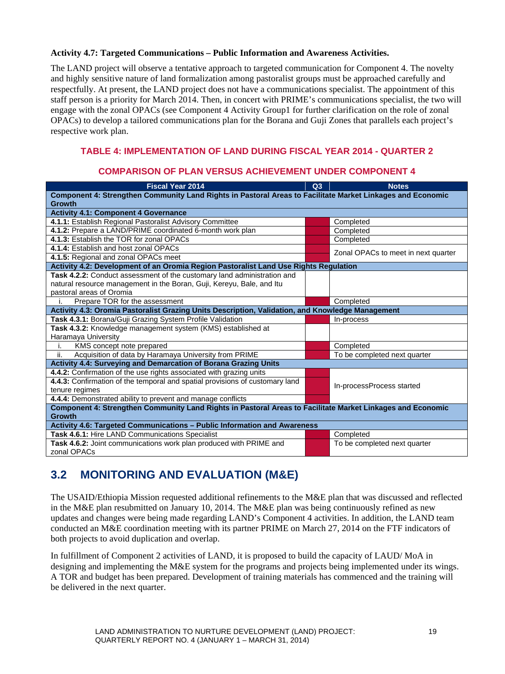#### **Activity 4.7: Targeted Communications – Public Information and Awareness Activities.**

The LAND project will observe a tentative approach to targeted communication for Component 4. The novelty and highly sensitive nature of land formalization among pastoralist groups must be approached carefully and respectfully. At present, the LAND project does not have a communications specialist. The appointment of this staff person is a priority for March 2014. Then, in concert with PRIME's communications specialist, the two will engage with the zonal OPACs (see Component 4 Activity Group1 for further clarification on the role of zonal OPACs) to develop a tailored communications plan for the Borana and Guji Zones that parallels each project's respective work plan.

#### **TABLE 4: IMPLEMENTATION OF LAND DURING FISCAL YEAR 2014 - QUARTER 2**

#### **COMPARISON OF PLAN VERSUS ACHIEVEMENT UNDER COMPONENT 4**

| <b>Fiscal Year 2014</b>                                                                                    | Q3 | <b>Notes</b>                        |  |  |  |  |  |  |
|------------------------------------------------------------------------------------------------------------|----|-------------------------------------|--|--|--|--|--|--|
| Component 4: Strengthen Community Land Rights in Pastoral Areas to Facilitate Market Linkages and Economic |    |                                     |  |  |  |  |  |  |
| <b>Growth</b>                                                                                              |    |                                     |  |  |  |  |  |  |
| <b>Activity 4.1: Component 4 Governance</b>                                                                |    |                                     |  |  |  |  |  |  |
| 4.1.1: Establish Regional Pastoralist Advisory Committee                                                   |    | Completed                           |  |  |  |  |  |  |
| 4.1.2: Prepare a LAND/PRIME coordinated 6-month work plan                                                  |    | Completed                           |  |  |  |  |  |  |
| 4.1.3: Establish the TOR for zonal OPACs                                                                   |    | Completed                           |  |  |  |  |  |  |
| 4.1.4: Establish and host zonal OPACs                                                                      |    | Zonal OPACs to meet in next quarter |  |  |  |  |  |  |
| 4.1.5: Regional and zonal OPACs meet                                                                       |    |                                     |  |  |  |  |  |  |
| Activity 4.2: Development of an Oromia Region Pastoralist Land Use Rights Regulation                       |    |                                     |  |  |  |  |  |  |
| Task 4.2.2: Conduct assessment of the customary land administration and                                    |    |                                     |  |  |  |  |  |  |
| natural resource management in the Boran, Guji, Kereyu, Bale, and Itu                                      |    |                                     |  |  |  |  |  |  |
| pastoral areas of Oromia                                                                                   |    |                                     |  |  |  |  |  |  |
| Prepare TOR for the assessment<br>Completed                                                                |    |                                     |  |  |  |  |  |  |
| Activity 4.3: Oromia Pastoralist Grazing Units Description, Validation, and Knowledge Management           |    |                                     |  |  |  |  |  |  |
| Task 4.3.1: Borana/Guji Grazing System Profile Validation                                                  |    | In-process                          |  |  |  |  |  |  |
| Task 4.3.2: Knowledge management system (KMS) established at                                               |    |                                     |  |  |  |  |  |  |
| Haramaya University                                                                                        |    |                                     |  |  |  |  |  |  |
| KMS concept note prepared<br>i.                                                                            |    | Completed                           |  |  |  |  |  |  |
| Acquisition of data by Haramaya University from PRIME<br>ii.                                               |    | To be completed next quarter        |  |  |  |  |  |  |
| Activity 4.4: Surveying and Demarcation of Borana Grazing Units                                            |    |                                     |  |  |  |  |  |  |
| 4.4.2: Confirmation of the use rights associated with grazing units                                        |    |                                     |  |  |  |  |  |  |
| 4.4.3: Confirmation of the temporal and spatial provisions of customary land                               |    | In-processProcess started           |  |  |  |  |  |  |
| tenure regimes                                                                                             |    |                                     |  |  |  |  |  |  |
| 4.4.4: Demonstrated ability to prevent and manage conflicts                                                |    |                                     |  |  |  |  |  |  |
| Component 4: Strengthen Community Land Rights in Pastoral Areas to Facilitate Market Linkages and Economic |    |                                     |  |  |  |  |  |  |
| <b>Growth</b>                                                                                              |    |                                     |  |  |  |  |  |  |
| Activity 4.6: Targeted Communications - Public Information and Awareness                                   |    |                                     |  |  |  |  |  |  |
| Task 4.6.1: Hire LAND Communications Specialist                                                            |    | Completed                           |  |  |  |  |  |  |
| Task 4.6.2: Joint communications work plan produced with PRIME and                                         |    | To be completed next quarter        |  |  |  |  |  |  |
| zonal OPACs                                                                                                |    |                                     |  |  |  |  |  |  |

#### <span id="page-26-0"></span>**3.2 MONITORING AND EVALUATION (M&E)**

The USAID/Ethiopia Mission requested additional refinements to the M&E plan that was discussed and reflected in the M&E plan resubmitted on January 10, 2014. The M&E plan was being continuously refined as new updates and changes were being made regarding LAND's Component 4 activities. In addition, the LAND team conducted an M&E coordination meeting with its partner PRIME on March 27, 2014 on the FTF indicators of both projects to avoid duplication and overlap.

In fulfillment of Component 2 activities of LAND, it is proposed to build the capacity of LAUD/ MoA in designing and implementing the M&E system for the programs and projects being implemented under its wings. A TOR and budget has been prepared. Development of training materials has commenced and the training will be delivered in the next quarter.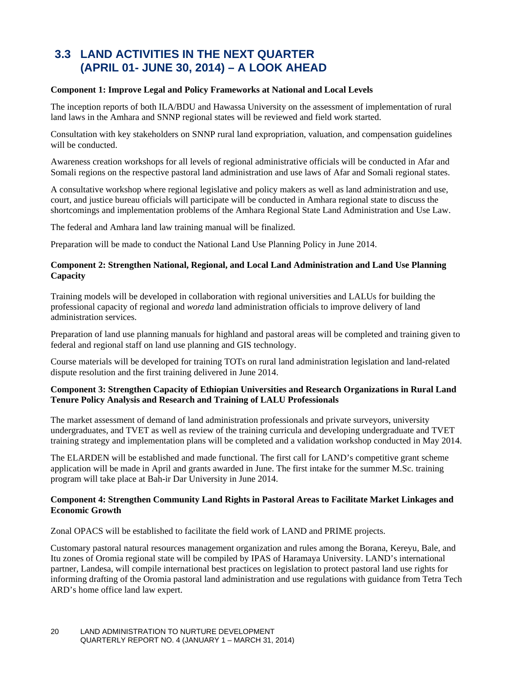#### **3.3 LAND ACTIVITIES IN THE NEXT QUARTER (APRIL 01- JUNE 30, 2014) – A LOOK AHEAD**

#### **Component 1: Improve Legal and Policy Frameworks at National and Local Levels**

The inception reports of both ILA/BDU and Hawassa University on the assessment of implementation of rural land laws in the Amhara and SNNP regional states will be reviewed and field work started.

Consultation with key stakeholders on SNNP rural land expropriation, valuation, and compensation guidelines will be conducted.

Awareness creation workshops for all levels of regional administrative officials will be conducted in Afar and Somali regions on the respective pastoral land administration and use laws of Afar and Somali regional states.

A consultative workshop where regional legislative and policy makers as well as land administration and use, court, and justice bureau officials will participate will be conducted in Amhara regional state to discuss the shortcomings and implementation problems of the Amhara Regional State Land Administration and Use Law.

The federal and Amhara land law training manual will be finalized.

Preparation will be made to conduct the National Land Use Planning Policy in June 2014.

#### **Component 2: Strengthen National, Regional, and Local Land Administration and Land Use Planning Capacity**

Training models will be developed in collaboration with regional universities and LALUs for building the professional capacity of regional and *woreda* land administration officials to improve delivery of land administration services.

Preparation of land use planning manuals for highland and pastoral areas will be completed and training given to federal and regional staff on land use planning and GIS technology.

Course materials will be developed for training TOTs on rural land administration legislation and land-related dispute resolution and the first training delivered in June 2014.

#### **Component 3: Strengthen Capacity of Ethiopian Universities and Research Organizations in Rural Land Tenure Policy Analysis and Research and Training of LALU Professionals**

The market assessment of demand of land administration professionals and private surveyors, university undergraduates, and TVET as well as review of the training curricula and developing undergraduate and TVET training strategy and implementation plans will be completed and a validation workshop conducted in May 2014.

The ELARDEN will be established and made functional. The first call for LAND's competitive grant scheme application will be made in April and grants awarded in June. The first intake for the summer M.Sc. training program will take place at Bah-ir Dar University in June 2014.

#### **Component 4: Strengthen Community Land Rights in Pastoral Areas to Facilitate Market Linkages and Economic Growth**

Zonal OPACS will be established to facilitate the field work of LAND and PRIME projects.

Customary pastoral natural resources management organization and rules among the Borana, Kereyu, Bale, and Itu zones of Oromia regional state will be compiled by IPAS of Haramaya University. LAND's international partner, Landesa, will compile international best practices on legislation to protect pastoral land use rights for informing drafting of the Oromia pastoral land administration and use regulations with guidance from Tetra Tech ARD's home office land law expert.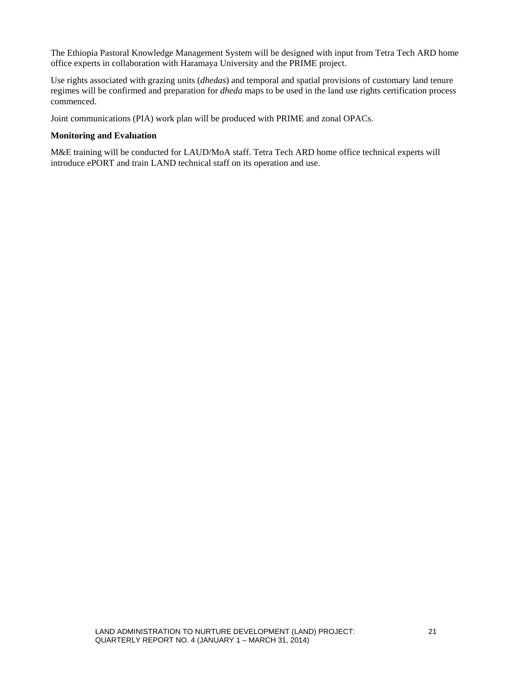The Ethiopia Pastoral Knowledge Management System will be designed with input from Tetra Tech ARD home office experts in collaboration with Haramaya University and the PRIME project.

Use rights associated with grazing units (*dhedas*) and temporal and spatial provisions of customary land tenure regimes will be confirmed and preparation for *dheda* maps to be used in the land use rights certification process commenced.

Joint communications (PIA) work plan will be produced with PRIME and zonal OPACs.

#### **Monitoring and Evaluation**

M&E training will be conducted for LAUD/MoA staff. Tetra Tech ARD home office technical experts will introduce ePORT and train LAND technical staff on its operation and use.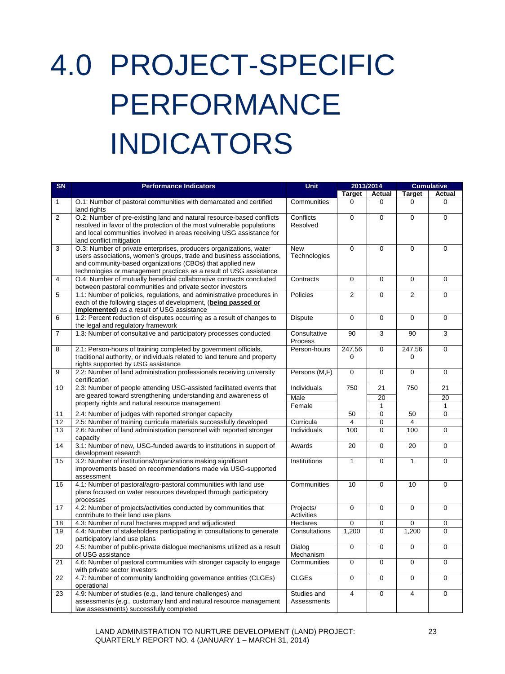# <span id="page-30-0"></span>4.0 PROJECT-SPECIFIC PERFORMANCE INDICATORS

| SN             | <b>Performance Indicators</b>                                                                                                                                                                                                                                                 | <b>Unit</b>                |                | 2013/2014      |                | <b>Cumulative</b> |
|----------------|-------------------------------------------------------------------------------------------------------------------------------------------------------------------------------------------------------------------------------------------------------------------------------|----------------------------|----------------|----------------|----------------|-------------------|
|                |                                                                                                                                                                                                                                                                               |                            | <b>Target</b>  | Actual         | <b>Target</b>  | <b>Actual</b>     |
| 1              | O.1: Number of pastoral communities with demarcated and certified<br>land rights                                                                                                                                                                                              | Communities                | 0              | 0              | 0              | 0                 |
| $\overline{2}$ | O.2: Number of pre-existing land and natural resource-based conflicts<br>resolved in favor of the protection of the most vulnerable populations<br>and local communities involved in areas receiving USG assistance for<br>land conflict mitigation                           | Conflicts<br>Resolved      | $\Omega$       | $\mathbf 0$    | $\mathbf 0$    | $\mathbf 0$       |
| 3              | O.3: Number of private enterprises, producers organizations, water<br>users associations, women's groups, trade and business associations,<br>and community-based organizations (CBOs) that applied new<br>technologies or management practices as a result of USG assistance | <b>New</b><br>Technologies | 0              | $\mathbf 0$    | $\mathbf 0$    | 0                 |
| 4              | O.4: Number of mutually beneficial collaborative contracts concluded<br>between pastoral communities and private sector investors                                                                                                                                             | Contracts                  | $\Omega$       | $\Omega$       | $\Omega$       | $\Omega$          |
| 5              | 1.1: Number of policies, regulations, and administrative procedures in<br>each of the following stages of development, (being passed or<br><b>implemented</b> ) as a result of USG assistance                                                                                 | Policies                   | $\overline{2}$ | 0              | $\overline{2}$ | 0                 |
| 6              | 1.2: Percent reduction of disputes occurring as a result of changes to<br>the legal and regulatory framework                                                                                                                                                                  | <b>Dispute</b>             | $\mathbf 0$    | $\mathbf 0$    | $\mathbf 0$    | $\mathbf 0$       |
| $\overline{7}$ | 1.3: Number of consultative and participatory processes conducted                                                                                                                                                                                                             | Consultative<br>Process    | 90             | 3              | 90             | 3                 |
| 8              | 2.1: Person-hours of training completed by government officials,<br>traditional authority, or individuals related to land tenure and property<br>rights supported by USG assistance                                                                                           | Person-hours               | 247,56<br>0    | 0              | 247,56<br>0    | 0                 |
| 9              | 2.2: Number of land administration professionals receiving university<br>certification                                                                                                                                                                                        | Persons (M,F)              | $\overline{0}$ | $\mathbf 0$    | $\Omega$       | $\mathbf 0$       |
| 10             | 2.3: Number of people attending USG-assisted facilitated events that                                                                                                                                                                                                          | Individuals                | 750            | 21             | 750            | 21                |
|                | are geared toward strengthening understanding and awareness of                                                                                                                                                                                                                | Male                       |                | 20             |                | 20                |
|                | property rights and natural resource management                                                                                                                                                                                                                               | Female                     |                | 1              |                | 1                 |
| 11             | 2.4: Number of judges with reported stronger capacity                                                                                                                                                                                                                         |                            | 50             | 0              | 50             | 0                 |
| 12             | 2.5: Number of training curricula materials successfully developed                                                                                                                                                                                                            | Curricula                  | 4              | $\mathbf 0$    | 4              |                   |
| 13             | 2.6: Number of land administration personnel with reported stronger<br>capacity                                                                                                                                                                                               | <b>Individuals</b>         | 100            | 0              | 100            | $\mathbf 0$       |
| 14             | 3.1: Number of new, USG-funded awards to institutions in support of<br>development research                                                                                                                                                                                   | Awards                     | 20             | $\mathbf 0$    | 20             | 0                 |
| 15             | 3.2: Number of institutions/organizations making significant<br>improvements based on recommendations made via USG-supported<br>assessment                                                                                                                                    | Institutions               | $\mathbf{1}$   | $\overline{0}$ | $\mathbf{1}$   | $\mathbf 0$       |
| 16             | 4.1: Number of pastoral/agro-pastoral communities with land use<br>plans focused on water resources developed through participatory<br>processes                                                                                                                              | Communities                | 10             | $\mathbf 0$    | 10             | 0                 |
| 17             | 4.2: Number of projects/activities conducted by communities that<br>contribute to their land use plans                                                                                                                                                                        | Projects/<br>Activities    | 0              | $\mathbf 0$    | 0              | 0                 |
| 18             | 4.3: Number of rural hectares mapped and adjudicated                                                                                                                                                                                                                          | Hectares                   | 0              | 0              | 0              | 0                 |
| 19             | 4.4: Number of stakeholders participating in consultations to generate<br>participatory land use plans                                                                                                                                                                        | Consultations              | 1,200          | $\Omega$       | 1,200          | 0                 |
| 20             | 4.5: Number of public-private dialogue mechanisms utilized as a result<br>of USG assistance                                                                                                                                                                                   | Dialog<br>Mechanism        | $\mathbf 0$    | 0              | $\mathbf 0$    | 0                 |
| 21             | 4.6: Number of pastoral communities with stronger capacity to engage<br>with private sector investors                                                                                                                                                                         | Communities                | 0              | $\mathbf 0$    | $\mathbf 0$    | 0                 |
| 22             | 4.7: Number of community landholding governance entities (CLGEs)<br>operational                                                                                                                                                                                               | <b>CLGEs</b>               | 0              | 0              | 0              | 0                 |
| 23             | 4.9: Number of studies (e.g., land tenure challenges) and<br>assessments (e.g., customary land and natural resource management<br>law assessments) successfully completed                                                                                                     | Studies and<br>Assessments | 4              | $\pmb{0}$      | 4              | 0                 |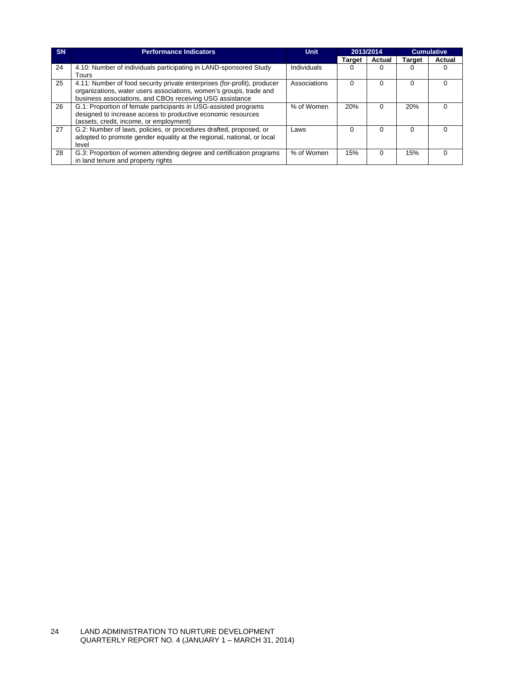| <b>SN</b> | <b>Performance Indicators</b>                                                                                                                                                                              | <b>Unit</b>  | 2013/2014     |          |          |        | <b>Cumulative</b> |  |
|-----------|------------------------------------------------------------------------------------------------------------------------------------------------------------------------------------------------------------|--------------|---------------|----------|----------|--------|-------------------|--|
|           |                                                                                                                                                                                                            |              | <b>Target</b> | Actual   | Target   | Actual |                   |  |
| 24        | 4.10: Number of individuals participating in LAND-sponsored Study<br>Tours                                                                                                                                 | Individuals  |               |          |          |        |                   |  |
| 25        | 4.11: Number of food security private enterprises (for-profit), producer<br>organizations, water users associations, women's groups, trade and<br>business associations, and CBOs receiving USG assistance | Associations | $\mathbf{U}$  | 0        | $\Omega$ |        |                   |  |
| 26        | G.1: Proportion of female participants in USG-assisted programs<br>designed to increase access to productive economic resources<br>(assets, credit, income, or employment)                                 | % of Women   | 20%           | $\Omega$ | 20%      |        |                   |  |
| 27        | G.2: Number of laws, policies, or procedures drafted, proposed, or<br>adopted to promote gender equality at the regional, national, or local<br>level                                                      | Laws         |               | $\Omega$ | $\Omega$ |        |                   |  |
| 28        | G.3: Proportion of women attending degree and certification programs<br>in land tenure and property rights                                                                                                 | % of Women   | 15%           | $\Omega$ | 15%      |        |                   |  |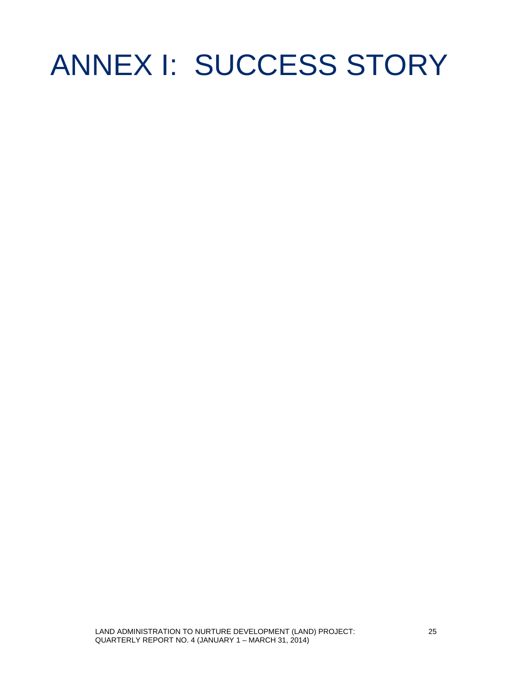### <span id="page-32-0"></span>ANNEX I: SUCCESS STORY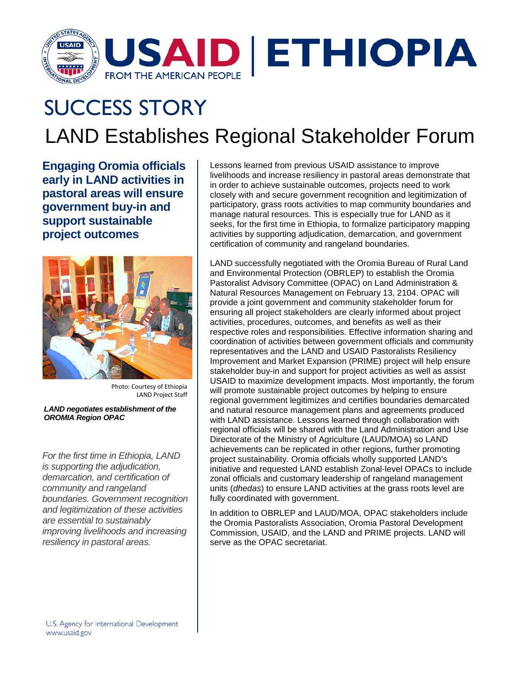

### LAND Establishes Regional Stakeholder Forum SUCCESS STORY

**Engaging Oromia officials early in LAND activities in pastoral areas will ensure government buy-in and support sustainable project outcomes**



Photo: Courtesy of Ethiopia LAND Project Staff

#### *LAND negotiates establishment of the OROMIA Region OPAC*

*For the first time in Ethiopia, LAND is supporting the adjudication, demarcation, and certification of community and rangeland boundaries. Government recognition and legitimization of these activities are essential to sustainably improving livelihoods and increasing resiliency in pastoral areas.*

Lessons learned from previous USAID assistance to improve livelihoods and increase resiliency in pastoral areas demonstrate that in order to achieve sustainable outcomes, projects need to work closely with and secure government recognition and legitimization of participatory, grass roots activities to map community boundaries and manage natural resources. This is especially true for LAND as it seeks, for the first time in Ethiopia, to formalize participatory mapping activities by supporting adjudication, demarcation, and government certification of community and rangeland boundaries.

LAND successfully negotiated with the Oromia Bureau of Rural Land and Environmental Protection (OBRLEP) to establish the Oromia Pastoralist Advisory Committee (OPAC) on Land Administration & Natural Resources Management on February 13, 2104. OPAC will provide a joint government and community stakeholder forum for ensuring all project stakeholders are clearly informed about project activities, procedures, outcomes, and benefits as well as their respective roles and responsibilities. Effective information sharing and coordination of activities between government officials and community representatives and the LAND and USAID Pastoralists Resiliency Improvement and Market Expansion (PRIME) project will help ensure stakeholder buy-in and support for project activities as well as assist USAID to maximize development impacts. Most importantly, the forum will promote sustainable project outcomes by helping to ensure regional government legitimizes and certifies boundaries demarcated and natural resource management plans and agreements produced with LAND assistance. Lessons learned through collaboration with regional officials will be shared with the Land Administration and Use Directorate of the Ministry of Agriculture (LAUD/MOA) so LAND achievements can be replicated in other regions, further promoting project sustainability. Oromia officials wholly supported LAND's initiative and requested LAND establish Zonal-level OPACs to include zonal officials and customary leadership of rangeland management units (*dhedas*) to ensure LAND activities at the grass roots level are fully coordinated with government.

In addition to OBRLEP and LAUD/MOA, OPAC stakeholders include the Oromia Pastoralists Association, Oromia Pastoral Development Commission, USAID, and the LAND and PRIME projects. LAND will serve as the OPAC secretariat.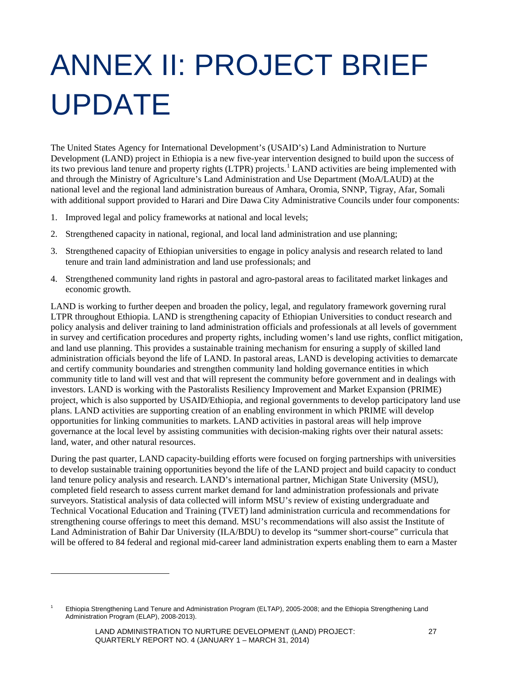# <span id="page-34-0"></span>ANNEX II: PROJECT BRIEF UPDATE

The United States Agency for International Development's (USAID's) Land Administration to Nurture Development (LAND) project in Ethiopia is a new five-year intervention designed to build upon the success of its two previous land tenure and property rights (LTPR) projects.<sup>[1](#page-34-1)</sup> LAND activities are being implemented with and through the Ministry of Agriculture's Land Administration and Use Department (MoA/LAUD) at the national level and the regional land administration bureaus of Amhara, Oromia, SNNP, Tigray, Afar, Somali with additional support provided to Harari and Dire Dawa City Administrative Councils under four components:

- 1. Improved legal and policy frameworks at national and local levels;
- 2. Strengthened capacity in national, regional, and local land administration and use planning;
- 3. Strengthened capacity of Ethiopian universities to engage in policy analysis and research related to land tenure and train land administration and land use professionals; and
- 4. Strengthened community land rights in pastoral and agro-pastoral areas to facilitated market linkages and economic growth.

LAND is working to further deepen and broaden the policy, legal, and regulatory framework governing rural LTPR throughout Ethiopia. LAND is strengthening capacity of Ethiopian Universities to conduct research and policy analysis and deliver training to land administration officials and professionals at all levels of government in survey and certification procedures and property rights, including women's land use rights, conflict mitigation, and land use planning. This provides a sustainable training mechanism for ensuring a supply of skilled land administration officials beyond the life of LAND. In pastoral areas, LAND is developing activities to demarcate and certify community boundaries and strengthen community land holding governance entities in which community title to land will vest and that will represent the community before government and in dealings with investors. LAND is working with the Pastoralists Resiliency Improvement and Market Expansion (PRIME) project, which is also supported by USAID/Ethiopia, and regional governments to develop participatory land use plans. LAND activities are supporting creation of an enabling environment in which PRIME will develop opportunities for linking communities to markets. LAND activities in pastoral areas will help improve governance at the local level by assisting communities with decision-making rights over their natural assets: land, water, and other natural resources.

During the past quarter, LAND capacity-building efforts were focused on forging partnerships with universities to develop sustainable training opportunities beyond the life of the LAND project and build capacity to conduct land tenure policy analysis and research. LAND's international partner, Michigan State University (MSU), completed field research to assess current market demand for land administration professionals and private surveyors. Statistical analysis of data collected will inform MSU's review of existing undergraduate and Technical Vocational Education and Training (TVET) land administration curricula and recommendations for strengthening course offerings to meet this demand. MSU's recommendations will also assist the Institute of Land Administration of Bahir Dar University (ILA/BDU) to develop its "summer short-course" curricula that will be offered to 84 federal and regional mid-career land administration experts enabling them to earn a Master

**.** 

<span id="page-34-1"></span><sup>&</sup>lt;sup>1</sup> Ethiopia Strengthening Land Tenure and Administration Program (ELTAP), 2005-2008; and the Ethiopia Strengthening Land Administration Program (ELAP), 2008-2013).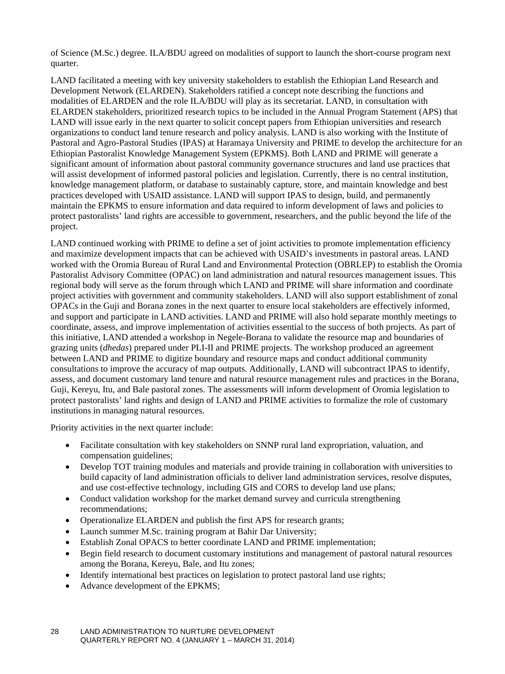of Science (M.Sc.) degree. ILA/BDU agreed on modalities of support to launch the short-course program next quarter.

LAND facilitated a meeting with key university stakeholders to establish the Ethiopian Land Research and Development Network (ELARDEN). Stakeholders ratified a concept note describing the functions and modalities of ELARDEN and the role ILA/BDU will play as its secretariat. LAND, in consultation with ELARDEN stakeholders, prioritized research topics to be included in the Annual Program Statement (APS) that LAND will issue early in the next quarter to solicit concept papers from Ethiopian universities and research organizations to conduct land tenure research and policy analysis. LAND is also working with the Institute of Pastoral and Agro-Pastoral Studies (IPAS) at Haramaya University and PRIME to develop the architecture for an Ethiopian Pastoralist Knowledge Management System (EPKMS). Both LAND and PRIME will generate a significant amount of information about pastoral community governance structures and land use practices that will assist development of informed pastoral policies and legislation. Currently, there is no central institution, knowledge management platform, or database to sustainably capture, store, and maintain knowledge and best practices developed with USAID assistance. LAND will support IPAS to design, build, and permanently maintain the EPKMS to ensure information and data required to inform development of laws and policies to protect pastoralists' land rights are accessible to government, researchers, and the public beyond the life of the project.

LAND continued working with PRIME to define a set of joint activities to promote implementation efficiency and maximize development impacts that can be achieved with USAID's investments in pastoral areas. LAND worked with the Oromia Bureau of Rural Land and Environmental Protection (OBRLEP) to establish the Oromia Pastoralist Advisory Committee (OPAC) on land administration and natural resources management issues. This regional body will serve as the forum through which LAND and PRIME will share information and coordinate project activities with government and community stakeholders. LAND will also support establishment of zonal OPACs in the Guji and Borana zones in the next quarter to ensure local stakeholders are effectively informed, and support and participate in LAND activities. LAND and PRIME will also hold separate monthly meetings to coordinate, assess, and improve implementation of activities essential to the success of both projects. As part of this initiative, LAND attended a workshop in Negele-Borana to validate the resource map and boundaries of grazing units (*dhedas*) prepared under PLI-II and PRIME projects. The workshop produced an agreement between LAND and PRIME to digitize boundary and resource maps and conduct additional community consultations to improve the accuracy of map outputs. Additionally, LAND will subcontract IPAS to identify, assess, and document customary land tenure and natural resource management rules and practices in the Borana, Guji, Kereyu, Itu, and Bale pastoral zones. The assessments will inform development of Oromia legislation to protect pastoralists' land rights and design of LAND and PRIME activities to formalize the role of customary institutions in managing natural resources.

Priority activities in the next quarter include:

- Facilitate consultation with key stakeholders on SNNP rural land expropriation, valuation, and compensation guidelines;
- Develop TOT training modules and materials and provide training in collaboration with universities to build capacity of land administration officials to deliver land administration services, resolve disputes, and use cost-effective technology, including GIS and CORS to develop land use plans;
- Conduct validation workshop for the market demand survey and curricula strengthening recommendations;
- Operationalize ELARDEN and publish the first APS for research grants;
- Launch summer M.Sc. training program at Bahir Dar University;
- Establish Zonal OPACS to better coordinate LAND and PRIME implementation;
- Begin field research to document customary institutions and management of pastoral natural resources among the Borana, Kereyu, Bale, and Itu zones;
- Identify international best practices on legislation to protect pastoral land use rights;
- Advance development of the EPKMS;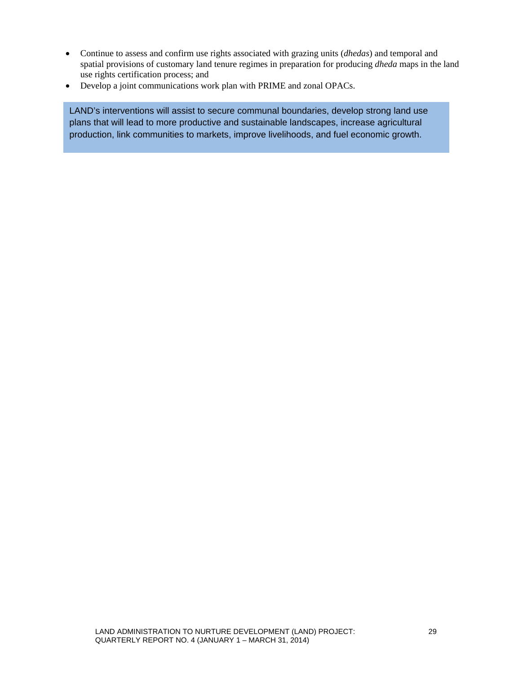- Continue to assess and confirm use rights associated with grazing units (*dhedas*) and temporal and spatial provisions of customary land tenure regimes in preparation for producing *dheda* maps in the land use rights certification process; and
- Develop a joint communications work plan with PRIME and zonal OPACs.

LAND's interventions will assist to secure communal boundaries, develop strong land use plans that will lead to more productive and sustainable landscapes, increase agricultural production, link communities to markets, improve livelihoods, and fuel economic growth.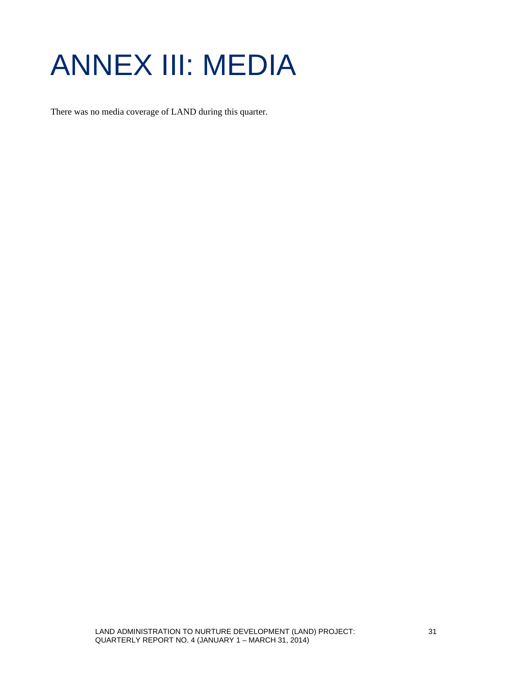### <span id="page-38-0"></span>ANNEX III: MEDIA

There was no media coverage of LAND during this quarter.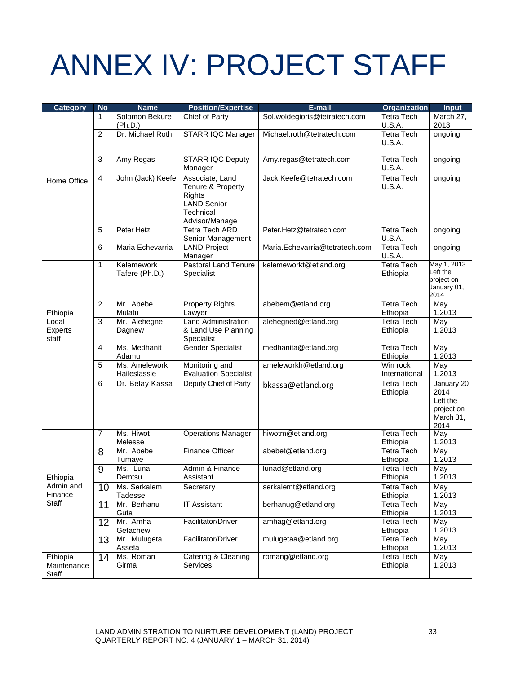### <span id="page-40-0"></span>ANNEX IV: PROJECT STAFF

| <b>Category</b>                  | <b>No</b>      | <b>Name</b>                   | <b>Position/Expertise</b>                                                                           | E-mail                         | <b>Organization</b>                | <b>Input</b>                                                      |
|----------------------------------|----------------|-------------------------------|-----------------------------------------------------------------------------------------------------|--------------------------------|------------------------------------|-------------------------------------------------------------------|
|                                  | 1              | Solomon Bekure<br>(Ph.D.)     | Chief of Party                                                                                      | Sol.woldegioris@tetratech.com  | <b>Tetra Tech</b><br><b>U.S.A.</b> | March 27,<br>2013                                                 |
|                                  | $\overline{2}$ | Dr. Michael Roth              | <b>STARR IQC Manager</b>                                                                            | Michael.roth@tetratech.com     | <b>Tetra Tech</b><br><b>U.S.A.</b> | ongoing                                                           |
|                                  | 3              | Amy Regas                     | <b>STARR IQC Deputy</b><br>Manager                                                                  | Amy.regas@tetratech.com        | <b>Tetra Tech</b><br>U.S.A.        | ongoing                                                           |
| Home Office                      | 4              | John (Jack) Keefe             | Associate, Land<br>Tenure & Property<br>Rights<br><b>LAND Senior</b><br>Technical<br>Advisor/Manage | Jack.Keefe@tetratech.com       | <b>Tetra Tech</b><br><b>U.S.A.</b> | ongoing                                                           |
|                                  | 5              | Peter Hetz                    | <b>Tetra Tech ARD</b><br>Senior Management                                                          | Peter.Hetz@tetratech.com       | <b>Tetra Tech</b><br>U.S.A.        | ongoing                                                           |
|                                  | 6              | Maria Echevarria              | <b>LAND Project</b><br>Manager                                                                      | Maria.Echevarria@tetratech.com | <b>Tetra Tech</b><br>U.S.A.        | ongoing                                                           |
|                                  | 1              | Kelemework<br>Tafere (Ph.D.)  | <b>Pastoral Land Tenure</b><br>Specialist                                                           | kelemeworkt@etland.org         | <b>Tetra Tech</b><br>Ethiopia      | May 1, 2013.<br>Left the<br>project on<br>January 01,<br>2014     |
| Ethiopia                         | $\overline{2}$ | Mr. Abebe<br>Mulatu           | <b>Property Rights</b><br>Lawyer                                                                    | abebem@etland.org              | <b>Tetra Tech</b><br>Ethiopia      | May<br>1,2013                                                     |
| Local<br><b>Experts</b><br>staff | 3              | Mr. Alehegne<br>Dagnew        | <b>Land Administration</b><br>& Land Use Planning<br>Specialist                                     | alehegned@etland.org           | <b>Tetra Tech</b><br>Ethiopia      | May<br>1,2013                                                     |
|                                  | 4              | Ms. Medhanit<br>Adamu         | <b>Gender Specialist</b>                                                                            | medhanita@etland.org           | <b>Tetra Tech</b><br>Ethiopia      | May<br>1,2013                                                     |
|                                  | 5              | Ms. Amelework<br>Haileslassie | Monitoring and<br><b>Evaluation Specialist</b>                                                      | ameleworkh@etland.org          | Win rock<br>International          | May<br>1,2013                                                     |
|                                  | 6              | Dr. Belay Kassa               | Deputy Chief of Party                                                                               | bkassa@etland.org              | <b>Tetra Tech</b><br>Ethiopia      | January 20<br>2014<br>Left the<br>project on<br>March 31,<br>2014 |
|                                  | 7              | Ms. Hiwot<br>Melesse          | <b>Operations Manager</b>                                                                           | hiwotm@etland.org              | <b>Tetra Tech</b><br>Ethiopia      | May<br>1,2013                                                     |
|                                  | 8              | Mr. Abebe<br>Tumaye           | Finance Officer                                                                                     | abebet@etland.org              | <b>Tetra Tech</b><br>Ethiopia      | May<br>1,2013                                                     |
| Ethiopia                         | 9              | Ms. Luna<br>Demtsu            | Admin & Finance<br>Assistant                                                                        | lunad@etland.org               | <b>Tetra Tech</b><br>Ethiopia      | May<br>1,2013                                                     |
| Admin and<br>Finance             | 10             | Ms. Serkalem<br>Tadesse       | Secretary                                                                                           | serkalemt@etland.org           | <b>Tetra Tech</b><br>Ethiopia      | May<br>1,2013                                                     |
| Staff                            | 11             | Mr. Berhanu<br>Guta           | <b>IT Assistant</b>                                                                                 | berhanug@etland.org            | <b>Tetra Tech</b><br>Ethiopia      | May<br>1,2013                                                     |
|                                  | 12             | Mr. Amha<br>Getachew          | Facilitator/Driver                                                                                  | amhag@etland.org               | <b>Tetra Tech</b><br>Ethiopia      | May<br>1,2013                                                     |
|                                  | 13             | Mr. Mulugeta<br>Assefa        | Facilitator/Driver                                                                                  | mulugetaa@etland.org           | <b>Tetra Tech</b><br>Ethiopia      | May<br>1,2013                                                     |
| Ethiopia<br>Maintenance<br>Staff | 14             | Ms. Roman<br>Girma            | Catering & Cleaning<br><b>Services</b>                                                              | romang@etland.org              | <b>Tetra Tech</b><br>Ethiopia      | May<br>1,2013                                                     |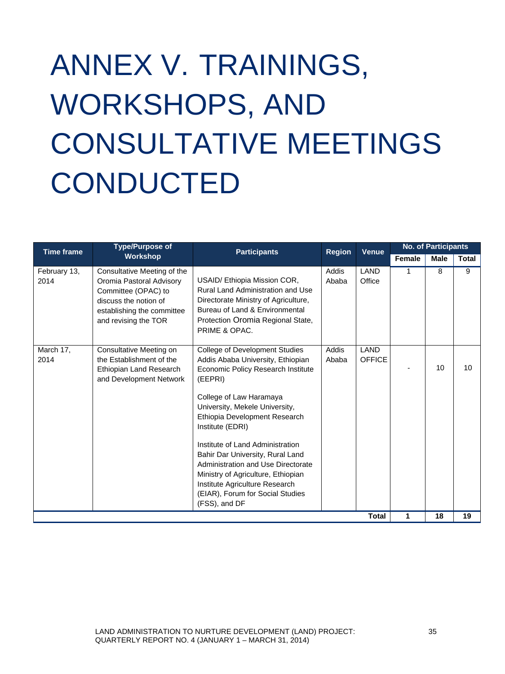# <span id="page-42-0"></span>ANNEX V. TRAININGS, WORKSHOPS, AND CONSULTATIVE MEETINGS **CONDUCTED**

| <b>Time frame</b>    | <b>Type/Purpose of</b>                                                                                                                                        | <b>Participants</b>                                                                                                                                                                                                                                                                                                                                                                                                                                                               | <b>Region</b>  | <b>Venue</b>          | <b>No. of Participants</b> |             |              |
|----------------------|---------------------------------------------------------------------------------------------------------------------------------------------------------------|-----------------------------------------------------------------------------------------------------------------------------------------------------------------------------------------------------------------------------------------------------------------------------------------------------------------------------------------------------------------------------------------------------------------------------------------------------------------------------------|----------------|-----------------------|----------------------------|-------------|--------------|
|                      | <b>Workshop</b>                                                                                                                                               |                                                                                                                                                                                                                                                                                                                                                                                                                                                                                   |                |                       | Female                     | <b>Male</b> | <b>Total</b> |
| February 13,<br>2014 | Consultative Meeting of the<br>Oromia Pastoral Advisory<br>Committee (OPAC) to<br>discuss the notion of<br>establishing the committee<br>and revising the TOR | USAID/ Ethiopia Mission COR,<br>Rural Land Administration and Use<br>Directorate Ministry of Agriculture,<br>Bureau of Land & Environmental<br>Protection Oromia Regional State,<br>PRIME & OPAC.                                                                                                                                                                                                                                                                                 | Addis<br>Ababa | LAND<br>Office        | 1                          | 8           | 9            |
| March 17,<br>2014    | Consultative Meeting on<br>the Establishment of the<br>Ethiopian Land Research<br>and Development Network                                                     | College of Development Studies<br>Addis Ababa University, Ethiopian<br>Economic Policy Research Institute<br>(EEPRI)<br>College of Law Haramaya<br>University, Mekele University,<br>Ethiopia Development Research<br>Institute (EDRI)<br>Institute of Land Administration<br>Bahir Dar University, Rural Land<br>Administration and Use Directorate<br>Ministry of Agriculture, Ethiopian<br>Institute Agriculture Research<br>(EIAR), Forum for Social Studies<br>(FSS), and DF | Addis<br>Ababa | LAND<br><b>OFFICE</b> |                            | 10          | 10           |
|                      |                                                                                                                                                               |                                                                                                                                                                                                                                                                                                                                                                                                                                                                                   |                | <b>Total</b>          | 1                          | 18          | 19           |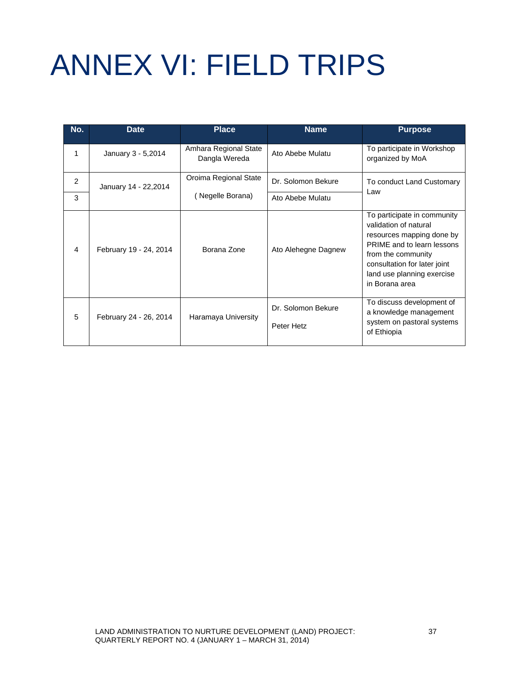# <span id="page-44-0"></span>ANNEX VI: FIELD TRIPS

| No. | <b>Date</b>            | <b>Place</b>                           | <b>Name</b>                      | <b>Purpose</b>                                                                                                                                                                                                        |  |
|-----|------------------------|----------------------------------------|----------------------------------|-----------------------------------------------------------------------------------------------------------------------------------------------------------------------------------------------------------------------|--|
| 1   | January 3 - 5,2014     | Amhara Regional State<br>Dangla Wereda | Ato Abebe Mulatu                 | To participate in Workshop<br>organized by MoA                                                                                                                                                                        |  |
| 2   | January 14 - 22,2014   | Oroima Regional State                  | Dr. Solomon Bekure               | To conduct Land Customary<br>Law                                                                                                                                                                                      |  |
| 3   |                        | (Negelle Borana)                       | Ato Abebe Mulatu                 |                                                                                                                                                                                                                       |  |
| 4   | February 19 - 24, 2014 | Borana Zone                            | Ato Alehegne Dagnew              | To participate in community<br>validation of natural<br>resources mapping done by<br>PRIME and to learn lessons<br>from the community<br>consultation for later joint<br>land use planning exercise<br>in Borana area |  |
| 5   | February 24 - 26, 2014 | Haramaya University                    | Dr. Solomon Bekure<br>Peter Hetz | To discuss development of<br>a knowledge management<br>system on pastoral systems<br>of Ethiopia                                                                                                                      |  |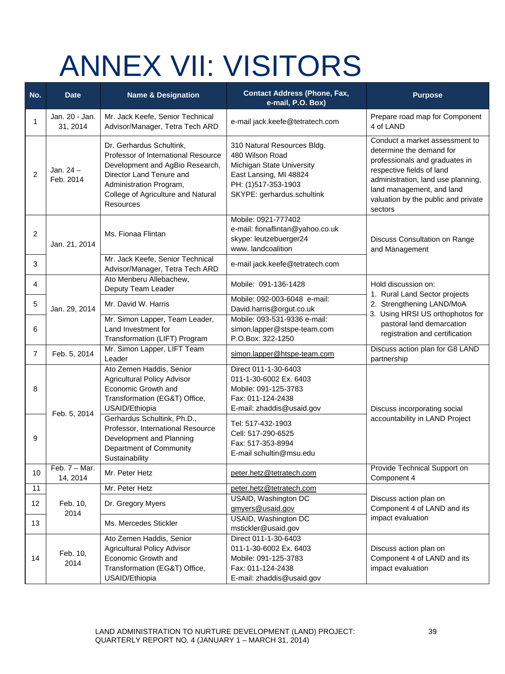### ANNEX VII: VISITORS

| No.            | <b>Date</b>                 | <b>Name &amp; Designation</b>                                                                                                                                                                                | <b>Contact Address (Phone, Fax,</b><br>e-mail, P.O. Box)                                                                                                   | <b>Purpose</b>                                                                                                                                                                                                                                 |  |
|----------------|-----------------------------|--------------------------------------------------------------------------------------------------------------------------------------------------------------------------------------------------------------|------------------------------------------------------------------------------------------------------------------------------------------------------------|------------------------------------------------------------------------------------------------------------------------------------------------------------------------------------------------------------------------------------------------|--|
| 1              | Jan. 20 - Jan.<br>31, 2014  | Mr. Jack Keefe, Senior Technical<br>Advisor/Manager, Tetra Tech ARD                                                                                                                                          | e-mail jack.keefe@tetratech.com                                                                                                                            | Prepare road map for Component<br>4 of LAND                                                                                                                                                                                                    |  |
| $\overline{2}$ | Jan. 24 -<br>Feb. 2014      | Dr. Gerhardus Schultink,<br>Professor of International Resource<br>Development and AgBio Research,<br>Director Land Tenure and<br>Administration Program,<br>College of Agriculture and Natural<br>Resources | 310 Natural Resources Bldg.<br>480 Wilson Road<br>Michigan State University<br>East Lansing, MI 48824<br>PH: (1)517-353-1903<br>SKYPE: gerhardus.schultink | Conduct a market assessment to<br>determine the demand for<br>professionals and graduates in<br>respective fields of land<br>administration, land use planning,<br>land management, and land<br>valuation by the public and private<br>sectors |  |
| $\overline{2}$ | Jan. 21, 2014               | Ms. Fionaa Flintan                                                                                                                                                                                           | Mobile: 0921-777402<br>e-mail: fionaflintan@yahoo.co.uk<br>skype: leutzebuerger24<br>www. landcoalition                                                    | Discuss Consultation on Range<br>and Management                                                                                                                                                                                                |  |
| 3              |                             | Mr. Jack Keefe, Senior Technical<br>Advisor/Manager, Tetra Tech ARD                                                                                                                                          | e-mail jack.keefe@tetratech.com                                                                                                                            |                                                                                                                                                                                                                                                |  |
| 4              |                             | Ato Menberu Allebachew,<br>Deputy Team Leader                                                                                                                                                                | Mobile: 091-136-1428                                                                                                                                       | Hold discussion on:<br>1. Rural Land Sector projects                                                                                                                                                                                           |  |
| 5              | Jan. 29, 2014               | Mr. David W. Harris                                                                                                                                                                                          | Mobile: 092-003-6048 e-mail:<br>David.harris@orgut.co.uk                                                                                                   | 2. Strengthening LAND/MoA<br>3. Using HRSI US orthophotos for                                                                                                                                                                                  |  |
| 6              |                             | Mr. Simon Lapper, Team Leader,<br>Land Investment for<br>Transformation (LIFT) Program                                                                                                                       | Mobile: 093-531-9336 e-mail:<br>simon.lapper@stspe-team.com<br>P.O.Box: 322-1250                                                                           | pastoral land demarcation<br>registration and certification                                                                                                                                                                                    |  |
| $\overline{7}$ | Feb. 5, 2014                | Mr. Simon Lapper, LIFT Team<br>Leader                                                                                                                                                                        | simon.lapper@htspe-team.com                                                                                                                                | Discuss action plan for G8 LAND<br>partnership                                                                                                                                                                                                 |  |
| 8              |                             | Ato Zemen Haddis, Senior<br><b>Agricultural Policy Advisor</b><br>Economic Growth and<br>Transformation (EG&T) Office,<br>USAID/Ethiopia                                                                     | Direct 011-1-30-6403<br>011-1-30-6002 Ex. 6403<br>Mobile: 091-125-3783<br>Fax: 011-124-2438<br>E-mail: zhaddis@usaid.gov                                   | Discuss incorporating social                                                                                                                                                                                                                   |  |
| 9              | Feb. 5, 2014                | Gerhardus Schultink, Ph.D.,<br>Professor, International Resource<br>Development and Planning<br>Department of Community<br>Sustainability                                                                    | Tel: 517-432-1903<br>Cell: 517-290-6525<br>Fax: 517-353-8994<br>E-mail schultin@msu.edu                                                                    | accountability in LAND Project                                                                                                                                                                                                                 |  |
| 10             | Feb. $7 -$ Mar.<br>14, 2014 | Mr. Peter Hetz                                                                                                                                                                                               | peter.hetz@tetratech.com                                                                                                                                   | Provide Technical Support on<br>Component 4                                                                                                                                                                                                    |  |
| 11             |                             | Mr. Peter Hetz                                                                                                                                                                                               | peter.hetz@tetratech.com                                                                                                                                   |                                                                                                                                                                                                                                                |  |
| 12             | Feb. 10,<br>2014            | Dr. Gregory Myers                                                                                                                                                                                            | USAID, Washington DC<br>gmyers@usaid.gov                                                                                                                   | Discuss action plan on<br>Component 4 of LAND and its                                                                                                                                                                                          |  |
| 13             |                             | Ms. Mercedes Stickler                                                                                                                                                                                        | <b>USAID, Washington DC</b><br>mstickler@usaid.gov                                                                                                         | impact evaluation                                                                                                                                                                                                                              |  |
| 14             | Feb. 10,<br>2014            | Ato Zemen Haddis, Senior<br><b>Agricultural Policy Advisor</b><br>Economic Growth and<br>Transformation (EG&T) Office,<br>USAID/Ethiopia                                                                     | Direct 011-1-30-6403<br>011-1-30-6002 Ex. 6403<br>Mobile: 091-125-3783<br>Fax: 011-124-2438<br>E-mail: zhaddis@usaid.gov                                   | Discuss action plan on<br>Component 4 of LAND and its<br>impact evaluation                                                                                                                                                                     |  |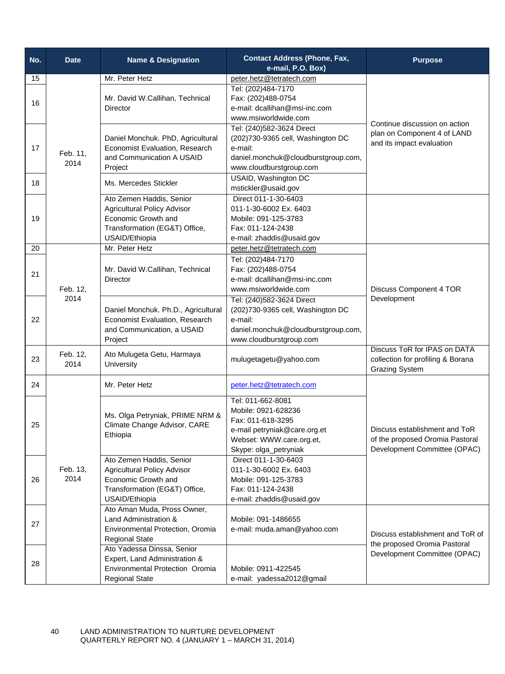| No. | <b>Date</b>      | <b>Name &amp; Designation</b>                                                                                                            | <b>Contact Address (Phone, Fax,</b><br>e-mail, P.O. Box)                                                                                           | <b>Purpose</b>                                                                                   |
|-----|------------------|------------------------------------------------------------------------------------------------------------------------------------------|----------------------------------------------------------------------------------------------------------------------------------------------------|--------------------------------------------------------------------------------------------------|
| 15  |                  | Mr. Peter Hetz                                                                                                                           | peter.hetz@tetratech.com                                                                                                                           |                                                                                                  |
| 16  |                  | Mr. David W.Callihan, Technical<br>Director                                                                                              | Tel: (202)484-7170<br>Fax: (202)488-0754<br>e-mail: dcallihan@msi-inc.com<br>www.msiworldwide.com                                                  | Continue discussion on action                                                                    |
| 17  | Feb. 11,<br>2014 | Daniel Monchuk. PhD, Agricultural<br>Economist Evaluation, Research<br>and Communication A USAID<br>Project                              | Tel: (240)582-3624 Direct<br>(202)730-9365 cell, Washington DC<br>e-mail:<br>daniel.monchuk@cloudburstgroup.com,<br>www.cloudburstgroup.com        | plan on Component 4 of LAND<br>and its impact evaluation                                         |
| 18  |                  | Ms. Mercedes Stickler                                                                                                                    | USAID, Washington DC<br>mstickler@usaid.gov                                                                                                        |                                                                                                  |
| 19  |                  | Ato Zemen Haddis, Senior<br><b>Agricultural Policy Advisor</b><br>Economic Growth and<br>Transformation (EG&T) Office,<br>USAID/Ethiopia | Direct 011-1-30-6403<br>011-1-30-6002 Ex. 6403<br>Mobile: 091-125-3783<br>Fax: 011-124-2438<br>e-mail: zhaddis@usaid.gov                           |                                                                                                  |
| 20  |                  | Mr. Peter Hetz                                                                                                                           | peter.hetz@tetratech.com                                                                                                                           |                                                                                                  |
| 21  | Feb. 12,         | Mr. David W.Callihan, Technical<br><b>Director</b>                                                                                       | Tel: (202)484-7170<br>Fax: (202)488-0754<br>e-mail: dcallihan@msi-inc.com<br>www.msiworldwide.com                                                  | Discuss Component 4 TOR                                                                          |
| 22  | 2014             | Daniel Monchuk. Ph.D., Agricultural<br>Economist Evaluation, Research<br>and Communication, a USAID<br>Project                           | Tel: (240)582-3624 Direct<br>(202) 730-9365 cell, Washington DC<br>e-mail:<br>daniel.monchuk@cloudburstgroup.com,<br>www.cloudburstgroup.com       | Development                                                                                      |
| 23  | Feb. 12,<br>2014 | Ato Mulugeta Getu, Harmaya<br>University                                                                                                 | mulugetagetu@yahoo.com                                                                                                                             | Discuss ToR for IPAS on DATA<br>collection for profiling & Borana<br><b>Grazing System</b>       |
| 24  |                  | Mr. Peter Hetz                                                                                                                           | peter.hetz@tetratech.com                                                                                                                           |                                                                                                  |
| 25  |                  | Ms. Olga Petryniak, PRIME NRM &<br>Climate Change Advisor, CARE<br>Ethiopia                                                              | Tel: 011-662-8081<br>Mobile: 0921-628236<br>Fax: 011-618-3295<br>e-mail petryniak@care.org.et<br>Webset: WWW.care.org.et,<br>Skype: olga_petryniak | Discuss establishment and ToR<br>of the proposed Oromia Pastoral<br>Development Committee (OPAC) |
| 26  | Feb. 13,<br>2014 | Ato Zemen Haddis, Senior<br><b>Agricultural Policy Advisor</b><br>Economic Growth and<br>Transformation (EG&T) Office,<br>USAID/Ethiopia | Direct 011-1-30-6403<br>011-1-30-6002 Ex. 6403<br>Mobile: 091-125-3783<br>Fax: 011-124-2438<br>e-mail: zhaddis@usaid.gov                           |                                                                                                  |
| 27  |                  | Ato Aman Muda, Pross Owner,<br>Land Administration &<br>Environmental Protection, Oromia<br><b>Regional State</b>                        | Mobile: 091-1486655<br>e-mail: muda.aman@yahoo.com                                                                                                 | Discuss establishment and ToR of<br>the proposed Oromia Pastoral                                 |
| 28  |                  | Ato Yadessa Dinssa, Senior<br>Expert, Land Administration &<br><b>Environmental Protection Oromia</b><br><b>Regional State</b>           | Mobile: 0911-422545<br>e-mail: yadessa2012@gmail                                                                                                   | Development Committee (OPAC)                                                                     |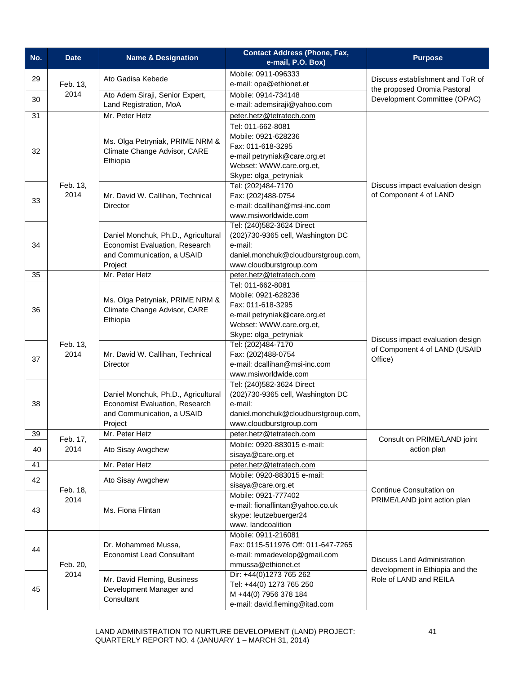| No.                          | <b>Date</b>            | <b>Name &amp; Designation</b>                                                                                                                                                                  | <b>Contact Address (Phone, Fax,</b>                 | <b>Purpose</b>                                                               |
|------------------------------|------------------------|------------------------------------------------------------------------------------------------------------------------------------------------------------------------------------------------|-----------------------------------------------------|------------------------------------------------------------------------------|
|                              |                        |                                                                                                                                                                                                | e-mail, P.O. Box)                                   |                                                                              |
|                              | 29<br>Feb. 13,<br>2014 | Ato Gadisa Kebede                                                                                                                                                                              | Mobile: 0911-096333                                 | Discuss establishment and ToR of<br>the proposed Oromia Pastoral             |
|                              |                        |                                                                                                                                                                                                | e-mail: opa@ethionet.et                             |                                                                              |
| 30                           |                        | Ato Adem Siraji, Senior Expert,                                                                                                                                                                | Mobile: 0914-734148                                 | Development Committee (OPAC)                                                 |
|                              |                        | Land Registration, MoA                                                                                                                                                                         | e-mail: ademsiraji@yahoo.com                        |                                                                              |
| 31                           |                        | Mr. Peter Hetz                                                                                                                                                                                 | peter.hetz@tetratech.com                            |                                                                              |
|                              |                        |                                                                                                                                                                                                | Tel: 011-662-8081                                   |                                                                              |
|                              |                        | Ms. Olga Petryniak, PRIME NRM &                                                                                                                                                                | Mobile: 0921-628236                                 |                                                                              |
| 32                           |                        | Climate Change Advisor, CARE                                                                                                                                                                   | Fax: 011-618-3295                                   |                                                                              |
|                              |                        | Ethiopia                                                                                                                                                                                       | e-mail petryniak@care.org.et                        |                                                                              |
|                              |                        |                                                                                                                                                                                                | Webset: WWW.care.org.et,                            |                                                                              |
|                              |                        |                                                                                                                                                                                                | Skype: olga_petryniak                               |                                                                              |
|                              | Feb. 13,<br>2014       |                                                                                                                                                                                                | Tel: (202)484-7170                                  | Discuss impact evaluation design<br>of Component 4 of LAND                   |
| 33                           |                        | Mr. David W. Callihan, Technical<br>Director                                                                                                                                                   | Fax: (202)488-0754<br>e-mail: dcallihan@msi-inc.com |                                                                              |
|                              |                        |                                                                                                                                                                                                | www.msiworldwide.com                                |                                                                              |
|                              |                        |                                                                                                                                                                                                | Tel: (240)582-3624 Direct                           |                                                                              |
|                              |                        | Daniel Monchuk, Ph.D., Agricultural                                                                                                                                                            | (202)730-9365 cell, Washington DC                   |                                                                              |
| 34                           |                        | Economist Evaluation, Research                                                                                                                                                                 | e-mail:                                             |                                                                              |
|                              |                        | and Communication, a USAID                                                                                                                                                                     | daniel.monchuk@cloudburstgroup.com,                 |                                                                              |
|                              |                        | Project                                                                                                                                                                                        | www.cloudburstgroup.com                             |                                                                              |
| 35                           |                        | Mr. Peter Hetz                                                                                                                                                                                 | peter.hetz@tetratech.com                            |                                                                              |
|                              |                        |                                                                                                                                                                                                | Tel: 011-662-8081                                   | Discuss impact evaluation design<br>of Component 4 of LAND (USAID<br>Office) |
|                              |                        |                                                                                                                                                                                                | Mobile: 0921-628236                                 |                                                                              |
| 36                           |                        | Ms. Olga Petryniak, PRIME NRM &<br>Climate Change Advisor, CARE                                                                                                                                | Fax: 011-618-3295                                   |                                                                              |
|                              |                        | Ethiopia<br>Feb. 13,<br>2014<br>Mr. David W. Callihan, Technical<br>Director<br>Daniel Monchuk, Ph.D., Agricultural<br>Economist Evaluation, Research<br>and Communication, a USAID<br>Project | e-mail petryniak@care.org.et                        |                                                                              |
|                              |                        |                                                                                                                                                                                                | Webset: WWW.care.org.et,                            |                                                                              |
|                              |                        |                                                                                                                                                                                                | Skype: olga_petryniak                               |                                                                              |
|                              |                        |                                                                                                                                                                                                | Tel: (202)484-7170                                  |                                                                              |
| 37                           |                        |                                                                                                                                                                                                | Fax: (202)488-0754                                  |                                                                              |
|                              |                        |                                                                                                                                                                                                | e-mail: dcallihan@msi-inc.com                       |                                                                              |
|                              |                        |                                                                                                                                                                                                | www.msiworldwide.com                                |                                                                              |
|                              |                        |                                                                                                                                                                                                | Tel: (240)582-3624 Direct                           |                                                                              |
| 38                           |                        |                                                                                                                                                                                                | (202)730-9365 cell, Washington DC<br>e-mail:        |                                                                              |
|                              |                        |                                                                                                                                                                                                | daniel.monchuk@cloudburstgroup.com,                 |                                                                              |
|                              |                        |                                                                                                                                                                                                | www.cloudburstgroup.com                             |                                                                              |
| 39                           |                        | Mr. Peter Hetz                                                                                                                                                                                 | peter.hetz@tetratech.com                            |                                                                              |
|                              | Feb. 17,               |                                                                                                                                                                                                | Mobile: 0920-883015 e-mail:                         | Consult on PRIME/LAND joint                                                  |
| 40                           | 2014                   | Ato Sisay Awgchew                                                                                                                                                                              | sisaya@care.org.et                                  | action plan                                                                  |
| 41                           |                        | Mr. Peter Hetz                                                                                                                                                                                 | peter.hetz@tetratech.com                            |                                                                              |
|                              |                        |                                                                                                                                                                                                | Mobile: 0920-883015 e-mail:                         |                                                                              |
| 42<br>Feb. 18,<br>2014<br>43 | Ato Sisay Awgchew      | sisaya@care.org.et                                                                                                                                                                             |                                                     |                                                                              |
|                              |                        | Ms. Fiona Flintan                                                                                                                                                                              | Mobile: 0921-777402                                 | Continue Consultation on<br>PRIME/LAND joint action plan                     |
|                              |                        |                                                                                                                                                                                                | e-mail: fionaflintan@yahoo.co.uk                    |                                                                              |
|                              |                        |                                                                                                                                                                                                | skype: leutzebuerger24                              |                                                                              |
|                              |                        |                                                                                                                                                                                                | www. landcoalition                                  |                                                                              |
|                              |                        | Dr. Mohammed Mussa,<br><b>Economist Lead Consultant</b>                                                                                                                                        | Mobile: 0911-216081                                 |                                                                              |
| 44                           |                        |                                                                                                                                                                                                | Fax: 0115-511976 Off: 011-647-7265                  |                                                                              |
|                              |                        |                                                                                                                                                                                                | e-mail: mmadevelop@gmail.com                        | <b>Discuss Land Administration</b>                                           |
|                              | Feb. 20,               |                                                                                                                                                                                                | mmussa@ethionet.et                                  | development in Ethiopia and the                                              |
|                              | 2014                   | Mr. David Fleming, Business                                                                                                                                                                    | Dir: +44(0)1273 765 262                             | Role of LAND and REILA                                                       |
| 45                           |                        | Development Manager and<br>Consultant                                                                                                                                                          | Tel: +44(0) 1273 765 250                            |                                                                              |
|                              |                        |                                                                                                                                                                                                | M +44(0) 7956 378 184                               |                                                                              |
|                              |                        | e-mail: david.fleming@itad.com                                                                                                                                                                 |                                                     |                                                                              |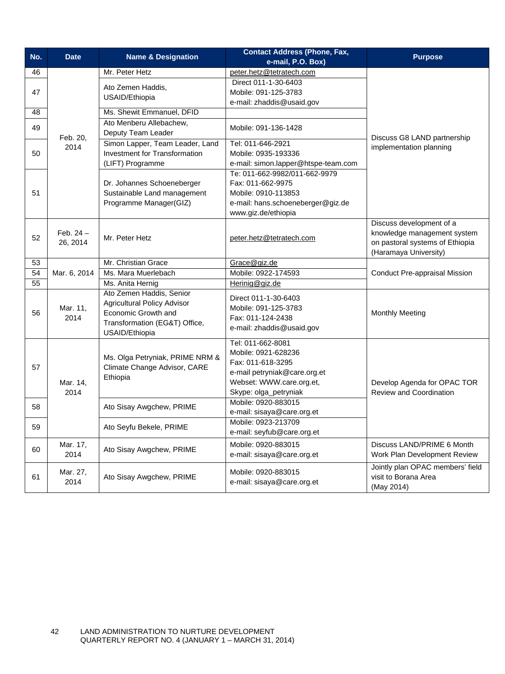| No. | <b>Date</b>             | <b>Name &amp; Designation</b>                                                                                                            | <b>Contact Address (Phone, Fax,</b><br>e-mail, P.O. Box)                                                                                           | <b>Purpose</b>                                                                                                      |
|-----|-------------------------|------------------------------------------------------------------------------------------------------------------------------------------|----------------------------------------------------------------------------------------------------------------------------------------------------|---------------------------------------------------------------------------------------------------------------------|
| 46  |                         | Mr. Peter Hetz                                                                                                                           | peter.hetz@tetratech.com                                                                                                                           |                                                                                                                     |
|     |                         |                                                                                                                                          | Direct 011-1-30-6403                                                                                                                               |                                                                                                                     |
| 47  |                         | Ato Zemen Haddis,                                                                                                                        | Mobile: 091-125-3783                                                                                                                               |                                                                                                                     |
|     |                         | USAID/Ethiopia                                                                                                                           | e-mail: zhaddis@usaid.gov                                                                                                                          |                                                                                                                     |
| 48  |                         | Ms. Shewit Emmanuel, DFID                                                                                                                |                                                                                                                                                    |                                                                                                                     |
| 49  | Feb. 20,                | Ato Menberu Allebachew,<br>Deputy Team Leader                                                                                            | Mobile: 091-136-1428                                                                                                                               | Discuss G8 LAND partnership                                                                                         |
|     | 2014                    | Simon Lapper, Team Leader, Land                                                                                                          | Tel: 011-646-2921                                                                                                                                  | implementation planning                                                                                             |
| 50  |                         | <b>Investment for Transformation</b>                                                                                                     | Mobile: 0935-193336                                                                                                                                |                                                                                                                     |
|     |                         | (LIFT) Programme                                                                                                                         | e-mail: simon.lapper@htspe-team.com                                                                                                                |                                                                                                                     |
|     |                         |                                                                                                                                          | Te: 011-662-9982/011-662-9979                                                                                                                      |                                                                                                                     |
|     |                         | Dr. Johannes Schoeneberger                                                                                                               | Fax: 011-662-9975                                                                                                                                  |                                                                                                                     |
| 51  |                         | Sustainable Land management                                                                                                              | Mobile: 0910-113853                                                                                                                                |                                                                                                                     |
|     |                         | Programme Manager(GIZ)                                                                                                                   | e-mail: hans.schoeneberger@giz.de                                                                                                                  |                                                                                                                     |
|     |                         |                                                                                                                                          | www.giz.de/ethiopia                                                                                                                                |                                                                                                                     |
| 52  | Feb. $24 -$<br>26, 2014 | Mr. Peter Hetz                                                                                                                           | peter.hetz@tetratech.com                                                                                                                           | Discuss development of a<br>knowledge management system<br>on pastoral systems of Ethiopia<br>(Haramaya University) |
| 53  |                         | Mr. Christian Grace                                                                                                                      | Grace@giz.de                                                                                                                                       |                                                                                                                     |
| 54  | Mar. 6, 2014            | Ms. Mara Muerlebach                                                                                                                      | Mobile: 0922-174593                                                                                                                                | <b>Conduct Pre-appraisal Mission</b>                                                                                |
| 55  |                         | Ms. Anita Hernig                                                                                                                         | Herinig@giz.de                                                                                                                                     |                                                                                                                     |
| 56  | Mar. 11,<br>2014        | Ato Zemen Haddis, Senior<br><b>Agricultural Policy Advisor</b><br>Economic Growth and<br>Transformation (EG&T) Office,<br>USAID/Ethiopia | Direct 011-1-30-6403<br>Mobile: 091-125-3783<br>Fax: 011-124-2438<br>e-mail: zhaddis@usaid.gov                                                     | <b>Monthly Meeting</b>                                                                                              |
| 57  | Mar. 14,<br>2014        | Ms. Olga Petryniak, PRIME NRM &<br>Climate Change Advisor, CARE<br>Ethiopia                                                              | Tel: 011-662-8081<br>Mobile: 0921-628236<br>Fax: 011-618-3295<br>e-mail petryniak@care.org.et<br>Webset: WWW.care.org.et,<br>Skype: olga_petryniak | Develop Agenda for OPAC TOR<br><b>Review and Coordination</b>                                                       |
| 58  |                         | Ato Sisay Awgchew, PRIME                                                                                                                 | Mobile: 0920-883015<br>e-mail: sisaya@care.org.et                                                                                                  |                                                                                                                     |
| 59  |                         | Ato Seyfu Bekele, PRIME                                                                                                                  | Mobile: 0923-213709<br>e-mail: seyfub@care.org.et                                                                                                  |                                                                                                                     |
| 60  | Mar. 17,<br>2014        | Ato Sisay Awgchew, PRIME                                                                                                                 | Mobile: 0920-883015<br>e-mail: sisaya@care.org.et                                                                                                  | Discuss LAND/PRIME 6 Month<br>Work Plan Development Review                                                          |
| 61  | Mar. 27,<br>2014        | Ato Sisay Awgchew, PRIME                                                                                                                 | Mobile: 0920-883015<br>e-mail: sisaya@care.org.et                                                                                                  | Jointly plan OPAC members' field<br>visit to Borana Area<br>(May 2014)                                              |